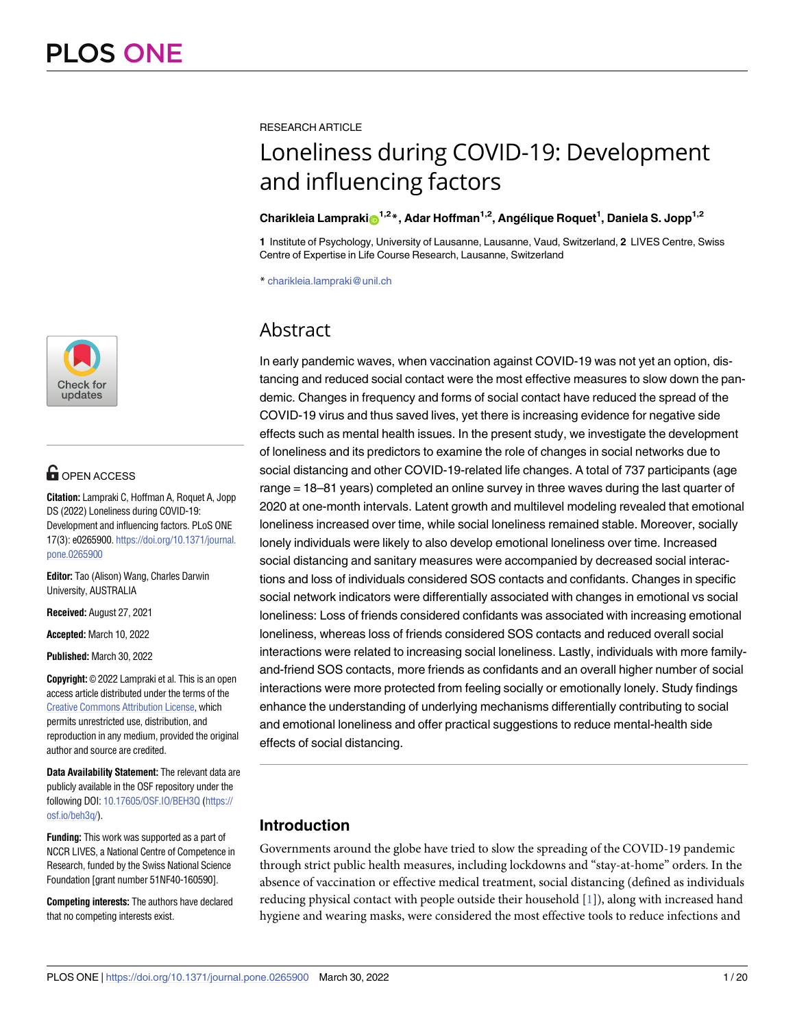

# **OPEN ACCESS**

**Citation:** Lampraki C, Hoffman A, Roquet A, Jopp DS (2022) Loneliness during COVID-19: Development and influencing factors. PLoS ONE 17(3): e0265900. [https://doi.org/10.1371/journal.](https://doi.org/10.1371/journal.pone.0265900) [pone.0265900](https://doi.org/10.1371/journal.pone.0265900)

**Editor:** Tao (Alison) Wang, Charles Darwin University, AUSTRALIA

**Received:** August 27, 2021

**Accepted:** March 10, 2022

**Published:** March 30, 2022

**Copyright:** © 2022 Lampraki et al. This is an open access article distributed under the terms of the Creative Commons [Attribution](http://creativecommons.org/licenses/by/4.0/) License, which permits unrestricted use, distribution, and reproduction in any medium, provided the original author and source are credited.

**Data Availability Statement:** The relevant data are publicly available in the OSF repository under the following DOI: [10.17605/OSF.IO/BEH3Q](https://doi.org/10.17605/OSF.IO/BEH3Q) [\(https://](https://osf.io/beh3q/) [osf.io/beh3q/\)](https://osf.io/beh3q/).

**Funding:** This work was supported as a part of NCCR LIVES, a National Centre of Competence in Research, funded by the Swiss National Science Foundation [grant number 51NF40-160590].

**Competing interests:** The authors have declared that no competing interests exist.

RESEARCH ARTICLE

# Loneliness during COVID-19: Development and influencing factors

# $\boldsymbol{\mathrm{Charik}}$ leia Lampraki $\boldsymbol{\mathrm{o}}^{1,2}$ \*, Adar Hoffman<sup>1,2</sup>, Angélique Roquet<sup>1</sup>, Daniela S. Jopp<sup>1,2</sup>

**1** Institute of Psychology, University of Lausanne, Lausanne, Vaud, Switzerland, **2** LIVES Centre, Swiss Centre of Expertise in Life Course Research, Lausanne, Switzerland

\* charikleia.lampraki@unil.ch

# Abstract

In early pandemic waves, when vaccination against COVID-19 was not yet an option, distancing and reduced social contact were the most effective measures to slow down the pandemic. Changes in frequency and forms of social contact have reduced the spread of the COVID-19 virus and thus saved lives, yet there is increasing evidence for negative side effects such as mental health issues. In the present study, we investigate the development of loneliness and its predictors to examine the role of changes in social networks due to social distancing and other COVID-19-related life changes. A total of 737 participants (age range = 18–81 years) completed an online survey in three waves during the last quarter of 2020 at one-month intervals. Latent growth and multilevel modeling revealed that emotional loneliness increased over time, while social loneliness remained stable. Moreover, socially lonely individuals were likely to also develop emotional loneliness over time. Increased social distancing and sanitary measures were accompanied by decreased social interactions and loss of individuals considered SOS contacts and confidants. Changes in specific social network indicators were differentially associated with changes in emotional vs social loneliness: Loss of friends considered confidants was associated with increasing emotional loneliness, whereas loss of friends considered SOS contacts and reduced overall social interactions were related to increasing social loneliness. Lastly, individuals with more familyand-friend SOS contacts, more friends as confidants and an overall higher number of social interactions were more protected from feeling socially or emotionally lonely. Study findings enhance the understanding of underlying mechanisms differentially contributing to social and emotional loneliness and offer practical suggestions to reduce mental-health side effects of social distancing.

# **Introduction**

Governments around the globe have tried to slow the spreading of the COVID-19 pandemic through strict public health measures, including lockdowns and "stay-at-home" orders. In the absence of vaccination or effective medical treatment, social distancing (defined as individuals reducing physical contact with people outside their household [[1\]](#page-17-0)), along with increased hand hygiene and wearing masks, were considered the most effective tools to reduce infections and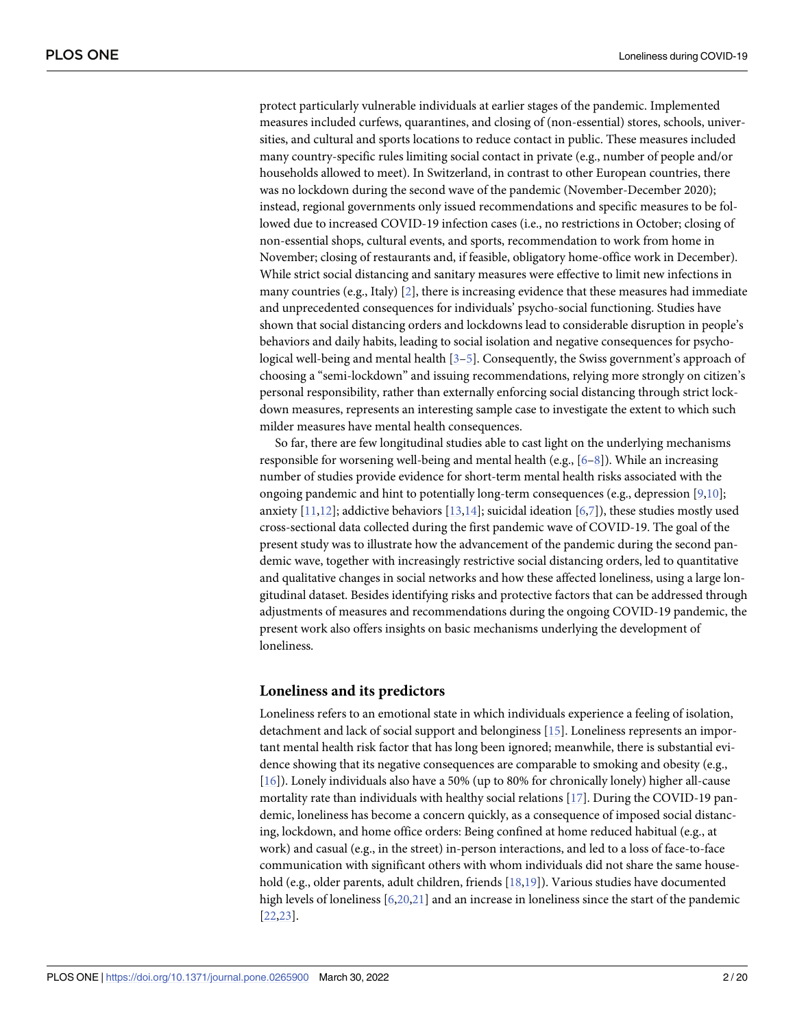<span id="page-1-0"></span>protect particularly vulnerable individuals at earlier stages of the pandemic. Implemented measures included curfews, quarantines, and closing of (non-essential) stores, schools, universities, and cultural and sports locations to reduce contact in public. These measures included many country-specific rules limiting social contact in private (e.g., number of people and/or households allowed to meet). In Switzerland, in contrast to other European countries, there was no lockdown during the second wave of the pandemic (November-December 2020); instead, regional governments only issued recommendations and specific measures to be followed due to increased COVID-19 infection cases (i.e., no restrictions in October; closing of non-essential shops, cultural events, and sports, recommendation to work from home in November; closing of restaurants and, if feasible, obligatory home-office work in December). While strict social distancing and sanitary measures were effective to limit new infections in many countries (e.g., Italy) [\[2\]](#page-17-0), there is increasing evidence that these measures had immediate and unprecedented consequences for individuals' psycho-social functioning. Studies have shown that social distancing orders and lockdowns lead to considerable disruption in people's behaviors and daily habits, leading to social isolation and negative consequences for psychological well-being and mental health [\[3–5\]](#page-17-0). Consequently, the Swiss government's approach of choosing a "semi-lockdown" and issuing recommendations, relying more strongly on citizen's personal responsibility, rather than externally enforcing social distancing through strict lockdown measures, represents an interesting sample case to investigate the extent to which such milder measures have mental health consequences.

So far, there are few longitudinal studies able to cast light on the underlying mechanisms responsible for worsening well-being and mental health (e.g., [[6–8\]](#page-17-0)). While an increasing number of studies provide evidence for short-term mental health risks associated with the ongoing pandemic and hint to potentially long-term consequences (e.g., depression [\[9,10\]](#page-17-0); anxiety  $[11,12]$  $[11,12]$ ; addictive behaviors  $[13,14]$  $[13,14]$ ; suicidal ideation  $[6,7]$  $[6,7]$ ), these studies mostly used cross-sectional data collected during the first pandemic wave of COVID-19. The goal of the present study was to illustrate how the advancement of the pandemic during the second pandemic wave, together with increasingly restrictive social distancing orders, led to quantitative and qualitative changes in social networks and how these affected loneliness, using a large longitudinal dataset. Besides identifying risks and protective factors that can be addressed through adjustments of measures and recommendations during the ongoing COVID-19 pandemic, the present work also offers insights on basic mechanisms underlying the development of loneliness.

#### **Loneliness and its predictors**

Loneliness refers to an emotional state in which individuals experience a feeling of isolation, detachment and lack of social support and belonginess [\[15\]](#page-17-0). Loneliness represents an important mental health risk factor that has long been ignored; meanwhile, there is substantial evidence showing that its negative consequences are comparable to smoking and obesity (e.g., [\[16\]](#page-17-0)). Lonely individuals also have a 50% (up to 80% for chronically lonely) higher all-cause mortality rate than individuals with healthy social relations [\[17\]](#page-17-0). During the COVID-19 pandemic, loneliness has become a concern quickly, as a consequence of imposed social distancing, lockdown, and home office orders: Being confined at home reduced habitual (e.g., at work) and casual (e.g., in the street) in-person interactions, and led to a loss of face-to-face communication with significant others with whom individuals did not share the same household (e.g., older parents, adult children, friends [\[18,19\]](#page-17-0)). Various studies have documented high levels of loneliness [[6,](#page-17-0)[20](#page-18-0),[21](#page-18-0)] and an increase in loneliness since the start of the pandemic [\[22,23\]](#page-18-0).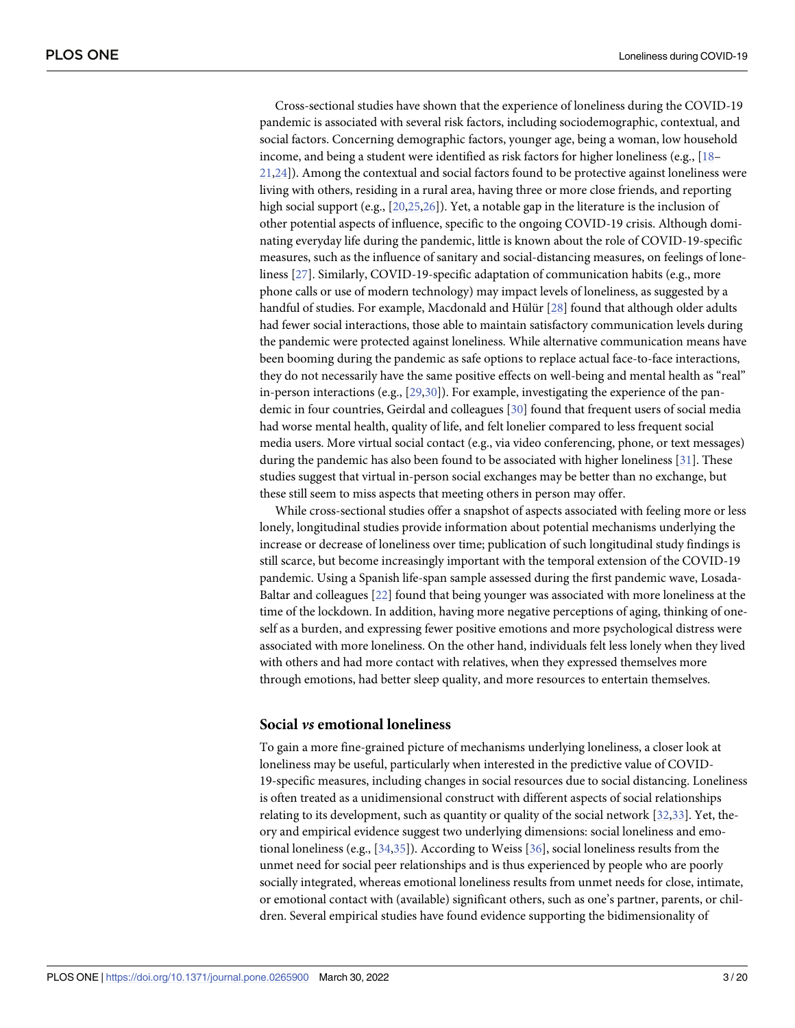<span id="page-2-0"></span>Cross-sectional studies have shown that the experience of loneliness during the COVID-19 pandemic is associated with several risk factors, including sociodemographic, contextual, and social factors. Concerning demographic factors, younger age, being a woman, low household income, and being a student were identified as risk factors for higher loneliness (e.g., [[18](#page-17-0)– [21,24](#page-18-0)]). Among the contextual and social factors found to be protective against loneliness were living with others, residing in a rural area, having three or more close friends, and reporting high social support (e.g., [[20,25,26\]](#page-18-0)). Yet, a notable gap in the literature is the inclusion of other potential aspects of influence, specific to the ongoing COVID-19 crisis. Although dominating everyday life during the pandemic, little is known about the role of COVID-19-specific measures, such as the influence of sanitary and social-distancing measures, on feelings of loneliness [[27](#page-18-0)]. Similarly, COVID-19-specific adaptation of communication habits (e.g., more phone calls or use of modern technology) may impact levels of loneliness, as suggested by a handful of studies. For example, Macdonald and Hülür [\[28\]](#page-18-0) found that although older adults had fewer social interactions, those able to maintain satisfactory communication levels during the pandemic were protected against loneliness. While alternative communication means have been booming during the pandemic as safe options to replace actual face-to-face interactions, they do not necessarily have the same positive effects on well-being and mental health as "real" in-person interactions (e.g.,  $[29,30]$ ). For example, investigating the experience of the pandemic in four countries, Geirdal and colleagues [[30](#page-18-0)] found that frequent users of social media had worse mental health, quality of life, and felt lonelier compared to less frequent social media users. More virtual social contact (e.g., via video conferencing, phone, or text messages) during the pandemic has also been found to be associated with higher loneliness [[31](#page-18-0)]. These studies suggest that virtual in-person social exchanges may be better than no exchange, but these still seem to miss aspects that meeting others in person may offer.

While cross-sectional studies offer a snapshot of aspects associated with feeling more or less lonely, longitudinal studies provide information about potential mechanisms underlying the increase or decrease of loneliness over time; publication of such longitudinal study findings is still scarce, but become increasingly important with the temporal extension of the COVID-19 pandemic. Using a Spanish life-span sample assessed during the first pandemic wave, Losada-Baltar and colleagues [\[22\]](#page-18-0) found that being younger was associated with more loneliness at the time of the lockdown. In addition, having more negative perceptions of aging, thinking of oneself as a burden, and expressing fewer positive emotions and more psychological distress were associated with more loneliness. On the other hand, individuals felt less lonely when they lived with others and had more contact with relatives, when they expressed themselves more through emotions, had better sleep quality, and more resources to entertain themselves.

#### **Social** *vs* **emotional loneliness**

To gain a more fine-grained picture of mechanisms underlying loneliness, a closer look at loneliness may be useful, particularly when interested in the predictive value of COVID-19-specific measures, including changes in social resources due to social distancing. Loneliness is often treated as a unidimensional construct with different aspects of social relationships relating to its development, such as quantity or quality of the social network [\[32,33](#page-18-0)]. Yet, theory and empirical evidence suggest two underlying dimensions: social loneliness and emotional loneliness (e.g., [\[34,35\]](#page-18-0)). According to Weiss [[36](#page-18-0)], social loneliness results from the unmet need for social peer relationships and is thus experienced by people who are poorly socially integrated, whereas emotional loneliness results from unmet needs for close, intimate, or emotional contact with (available) significant others, such as one's partner, parents, or children. Several empirical studies have found evidence supporting the bidimensionality of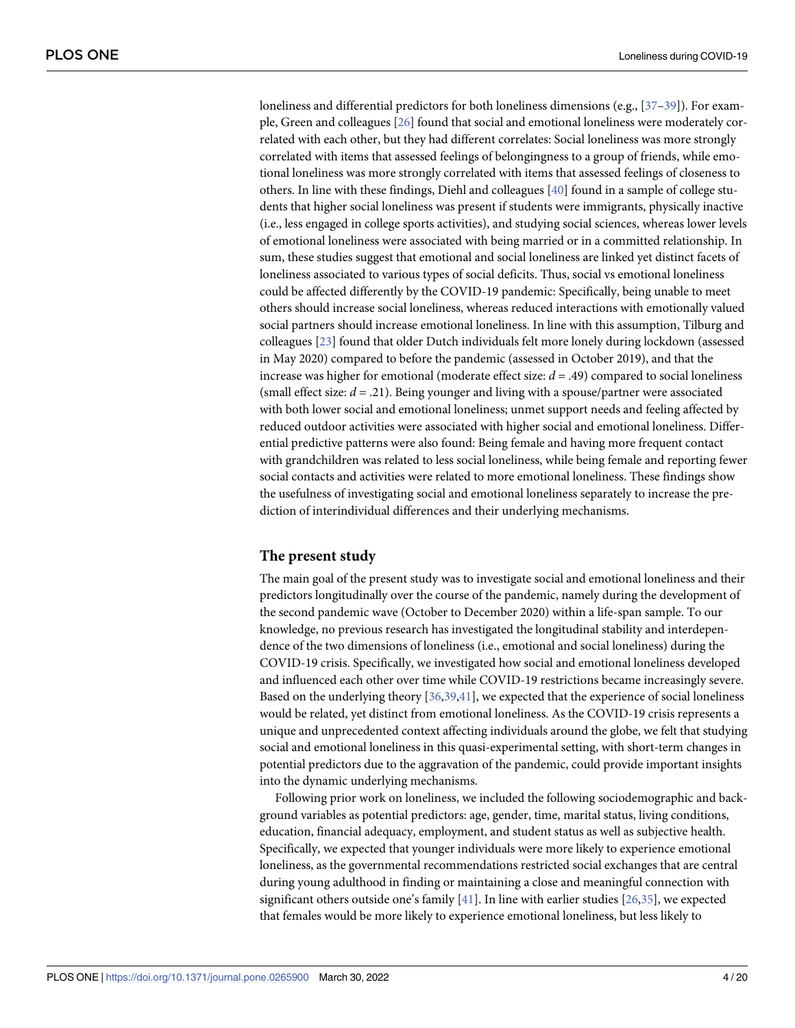<span id="page-3-0"></span>loneliness and differential predictors for both loneliness dimensions (e.g., [[37](#page-18-0)–[39](#page-18-0)]). For example, Green and colleagues [\[26\]](#page-18-0) found that social and emotional loneliness were moderately correlated with each other, but they had different correlates: Social loneliness was more strongly correlated with items that assessed feelings of belongingness to a group of friends, while emotional loneliness was more strongly correlated with items that assessed feelings of closeness to others. In line with these findings, Diehl and colleagues [[40](#page-19-0)] found in a sample of college students that higher social loneliness was present if students were immigrants, physically inactive (i.e., less engaged in college sports activities), and studying social sciences, whereas lower levels of emotional loneliness were associated with being married or in a committed relationship. In sum, these studies suggest that emotional and social loneliness are linked yet distinct facets of loneliness associated to various types of social deficits. Thus, social vs emotional loneliness could be affected differently by the COVID-19 pandemic: Specifically, being unable to meet others should increase social loneliness, whereas reduced interactions with emotionally valued social partners should increase emotional loneliness. In line with this assumption, Tilburg and colleagues [\[23\]](#page-18-0) found that older Dutch individuals felt more lonely during lockdown (assessed in May 2020) compared to before the pandemic (assessed in October 2019), and that the increase was higher for emotional (moderate effect size: *d* = .49) compared to social loneliness (small effect size:  $d = .21$ ). Being younger and living with a spouse/partner were associated with both lower social and emotional loneliness; unmet support needs and feeling affected by reduced outdoor activities were associated with higher social and emotional loneliness. Differential predictive patterns were also found: Being female and having more frequent contact with grandchildren was related to less social loneliness, while being female and reporting fewer social contacts and activities were related to more emotional loneliness. These findings show the usefulness of investigating social and emotional loneliness separately to increase the prediction of interindividual differences and their underlying mechanisms.

# **The present study**

The main goal of the present study was to investigate social and emotional loneliness and their predictors longitudinally over the course of the pandemic, namely during the development of the second pandemic wave (October to December 2020) within a life-span sample. To our knowledge, no previous research has investigated the longitudinal stability and interdependence of the two dimensions of loneliness (i.e., emotional and social loneliness) during the COVID-19 crisis. Specifically, we investigated how social and emotional loneliness developed and influenced each other over time while COVID-19 restrictions became increasingly severe. Based on the underlying theory [\[36,39,](#page-18-0)[41](#page-19-0)], we expected that the experience of social loneliness would be related, yet distinct from emotional loneliness. As the COVID-19 crisis represents a unique and unprecedented context affecting individuals around the globe, we felt that studying social and emotional loneliness in this quasi-experimental setting, with short-term changes in potential predictors due to the aggravation of the pandemic, could provide important insights into the dynamic underlying mechanisms.

Following prior work on loneliness, we included the following sociodemographic and background variables as potential predictors: age, gender, time, marital status, living conditions, education, financial adequacy, employment, and student status as well as subjective health. Specifically, we expected that younger individuals were more likely to experience emotional loneliness, as the governmental recommendations restricted social exchanges that are central during young adulthood in finding or maintaining a close and meaningful connection with significant others outside one's family  $[41]$  $[41]$  $[41]$ . In line with earlier studies  $[26,35]$  $[26,35]$ , we expected that females would be more likely to experience emotional loneliness, but less likely to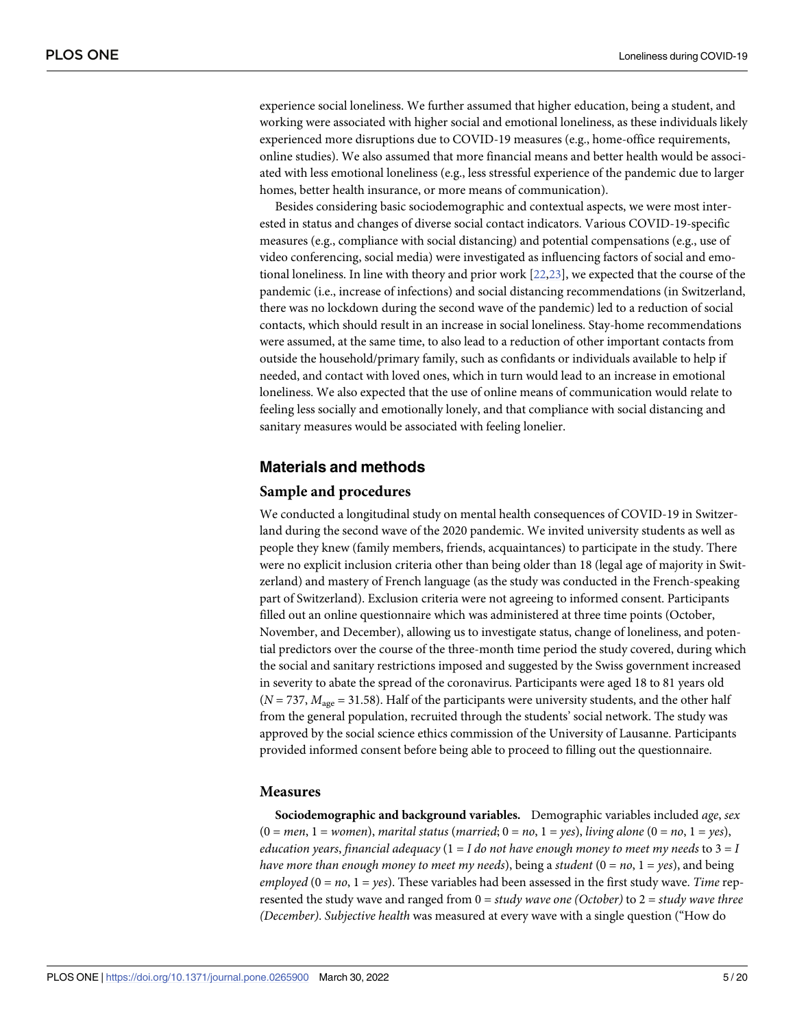<span id="page-4-0"></span>experience social loneliness. We further assumed that higher education, being a student, and working were associated with higher social and emotional loneliness, as these individuals likely experienced more disruptions due to COVID-19 measures (e.g., home-office requirements, online studies). We also assumed that more financial means and better health would be associated with less emotional loneliness (e.g., less stressful experience of the pandemic due to larger homes, better health insurance, or more means of communication).

Besides considering basic sociodemographic and contextual aspects, we were most interested in status and changes of diverse social contact indicators. Various COVID-19-specific measures (e.g., compliance with social distancing) and potential compensations (e.g., use of video conferencing, social media) were investigated as influencing factors of social and emotional loneliness. In line with theory and prior work [\[22,23](#page-18-0)], we expected that the course of the pandemic (i.e., increase of infections) and social distancing recommendations (in Switzerland, there was no lockdown during the second wave of the pandemic) led to a reduction of social contacts, which should result in an increase in social loneliness. Stay-home recommendations were assumed, at the same time, to also lead to a reduction of other important contacts from outside the household/primary family, such as confidants or individuals available to help if needed, and contact with loved ones, which in turn would lead to an increase in emotional loneliness. We also expected that the use of online means of communication would relate to feeling less socially and emotionally lonely, and that compliance with social distancing and sanitary measures would be associated with feeling lonelier.

#### **Materials and methods**

#### **Sample and procedures**

We conducted a longitudinal study on mental health consequences of COVID-19 in Switzerland during the second wave of the 2020 pandemic. We invited university students as well as people they knew (family members, friends, acquaintances) to participate in the study. There were no explicit inclusion criteria other than being older than 18 (legal age of majority in Switzerland) and mastery of French language (as the study was conducted in the French-speaking part of Switzerland). Exclusion criteria were not agreeing to informed consent. Participants filled out an online questionnaire which was administered at three time points (October, November, and December), allowing us to investigate status, change of loneliness, and potential predictors over the course of the three-month time period the study covered, during which the social and sanitary restrictions imposed and suggested by the Swiss government increased in severity to abate the spread of the coronavirus. Participants were aged 18 to 81 years old  $(N = 737, M<sub>age</sub> = 31.58)$ . Half of the participants were university students, and the other half from the general population, recruited through the students' social network. The study was approved by the social science ethics commission of the University of Lausanne. Participants provided informed consent before being able to proceed to filling out the questionnaire.

#### **Measures**

**Sociodemographic and background variables.** Demographic variables included *age*, *sex*  $(0 = men, 1 = women),$  *marital status* (*married*;  $0 = no, 1 = yes$ ), *living alone*  $(0 = no, 1 = yes)$ , *education years*, *financial adequacy* (1 = *I do not have enough money to meet my needs* to 3 = *I have more than enough money to meet my needs*), being a *student*  $(0 = no, 1 = yes)$ , and being *employed*  $(0 = no, 1 = yes)$ . These variables had been assessed in the first study wave. *Time* represented the study wave and ranged from 0 = *study wave one (October)* to 2 = *study wave three (December)*. *Subjective health* was measured at every wave with a single question ("How do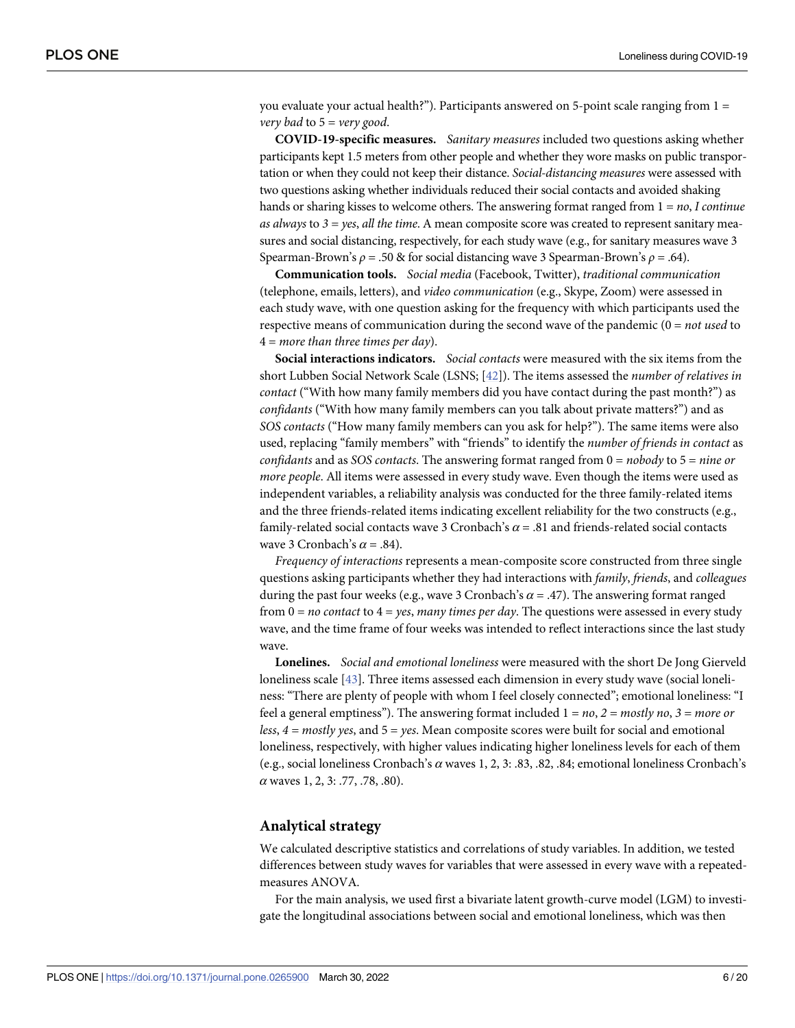<span id="page-5-0"></span>you evaluate your actual health?"). Participants answered on 5-point scale ranging from  $1 =$ *very bad* to 5 = *very good*.

**COVID-19-specific measures.** *Sanitary measures* included two questions asking whether participants kept 1.5 meters from other people and whether they wore masks on public transportation or when they could not keep their distance. *Social-distancing measures* were assessed with two questions asking whether individuals reduced their social contacts and avoided shaking hands or sharing kisses to welcome others. The answering format ranged from 1 = *no*, *I continue as always* to *3 = yes*, *all the time*. A mean composite score was created to represent sanitary measures and social distancing, respectively, for each study wave (e.g., for sanitary measures wave 3 Spearman-Brown's *ρ* = .50 & for social distancing wave 3 Spearman-Brown's *ρ* = .64).

**Communication tools.** *Social media* (Facebook, Twitter), *traditional communication* (telephone, emails, letters), and *video communication* (e.g., Skype, Zoom) were assessed in each study wave, with one question asking for the frequency with which participants used the respective means of communication during the second wave of the pandemic (0 = *not used* to 4 = *more than three times per day*).

**Social interactions indicators.** *Social contacts* were measured with the six items from the short Lubben Social Network Scale (LSNS; [\[42\]](#page-19-0)). The items assessed the *number of relatives in contact* ("With how many family members did you have contact during the past month?") as *confidants* ("With how many family members can you talk about private matters?") and as *SOS contacts* ("How many family members can you ask for help?"). The same items were also used, replacing "family members" with "friends" to identify the *number of friends in contact* as *confidants* and as *SOS contacts*. The answering format ranged from 0 = *nobody* to 5 = *nine or more people*. All items were assessed in every study wave. Even though the items were used as independent variables, a reliability analysis was conducted for the three family-related items and the three friends-related items indicating excellent reliability for the two constructs (e.g., family-related social contacts wave 3 Cronbach's *α* = .81 and friends-related social contacts wave 3 Cronbach's *α* = .84).

*Frequency of interactions* represents a mean-composite score constructed from three single questions asking participants whether they had interactions with *family*, *friends*, and *colleagues* during the past four weeks (e.g., wave 3 Cronbach's  $\alpha$  = .47). The answering format ranged from 0 = *no contact* to 4 = *yes*, *many times per day*. The questions were assessed in every study wave, and the time frame of four weeks was intended to reflect interactions since the last study wave.

**Lonelines.** *Social and emotional loneliness* were measured with the short De Jong Gierveld loneliness scale [\[43\]](#page-19-0). Three items assessed each dimension in every study wave (social loneliness: "There are plenty of people with whom I feel closely connected"; emotional loneliness: "I feel a general emptiness"). The answering format included 1 = *no*, *2 = mostly no*, *3 = more or less*, *4 = mostly yes*, and 5 = *yes*. Mean composite scores were built for social and emotional loneliness, respectively, with higher values indicating higher loneliness levels for each of them (e.g., social loneliness Cronbach's *α* waves 1, 2, 3: .83, .82, .84; emotional loneliness Cronbach's *α* waves 1, 2, 3: .77, .78, .80).

#### **Analytical strategy**

We calculated descriptive statistics and correlations of study variables. In addition, we tested differences between study waves for variables that were assessed in every wave with a repeatedmeasures ANOVA.

For the main analysis, we used first a bivariate latent growth-curve model (LGM) to investigate the longitudinal associations between social and emotional loneliness, which was then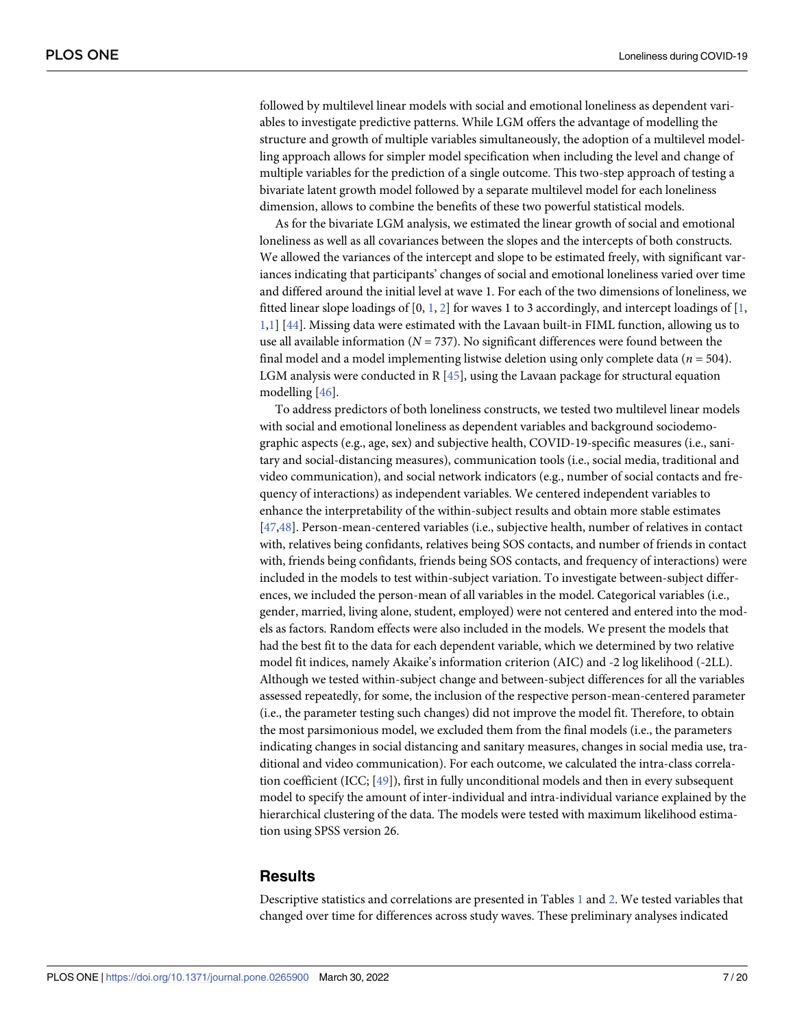<span id="page-6-0"></span>followed by multilevel linear models with social and emotional loneliness as dependent variables to investigate predictive patterns. While LGM offers the advantage of modelling the structure and growth of multiple variables simultaneously, the adoption of a multilevel modelling approach allows for simpler model specification when including the level and change of multiple variables for the prediction of a single outcome. This two-step approach of testing a bivariate latent growth model followed by a separate multilevel model for each loneliness dimension, allows to combine the benefits of these two powerful statistical models.

As for the bivariate LGM analysis, we estimated the linear growth of social and emotional loneliness as well as all covariances between the slopes and the intercepts of both constructs. We allowed the variances of the intercept and slope to be estimated freely, with significant variances indicating that participants' changes of social and emotional loneliness varied over time and differed around the initial level at wave 1. For each of the two dimensions of loneliness, we fitted linear slope loadings of [0, [1](#page-17-0), [2\]](#page-17-0) for waves 1 to 3 accordingly, and intercept loadings of [1, [1,1\]](#page-17-0) [[44](#page-19-0)]. Missing data were estimated with the Lavaan built-in FIML function, allowing us to use all available information (*N* = 737). No significant differences were found between the final model and a model implementing listwise deletion using only complete data (*n* = 504). LGM analysis were conducted in R  $[45]$  $[45]$  $[45]$ , using the Lavaan package for structural equation modelling [\[46\]](#page-19-0).

To address predictors of both loneliness constructs, we tested two multilevel linear models with social and emotional loneliness as dependent variables and background sociodemographic aspects (e.g., age, sex) and subjective health, COVID-19-specific measures (i.e., sanitary and social-distancing measures), communication tools (i.e., social media, traditional and video communication), and social network indicators (e.g., number of social contacts and frequency of interactions) as independent variables. We centered independent variables to enhance the interpretability of the within-subject results and obtain more stable estimates [\[47,48\]](#page-19-0). Person-mean-centered variables (i.e., subjective health, number of relatives in contact with, relatives being confidants, relatives being SOS contacts, and number of friends in contact with, friends being confidants, friends being SOS contacts, and frequency of interactions) were included in the models to test within-subject variation. To investigate between-subject differences, we included the person-mean of all variables in the model. Categorical variables (i.e., gender, married, living alone, student, employed) were not centered and entered into the models as factors. Random effects were also included in the models. We present the models that had the best fit to the data for each dependent variable, which we determined by two relative model fit indices, namely Akaike's information criterion (AIC) and -2 log likelihood (-2LL). Although we tested within-subject change and between-subject differences for all the variables assessed repeatedly, for some, the inclusion of the respective person-mean-centered parameter (i.e., the parameter testing such changes) did not improve the model fit. Therefore, to obtain the most parsimonious model, we excluded them from the final models (i.e., the parameters indicating changes in social distancing and sanitary measures, changes in social media use, traditional and video communication). For each outcome, we calculated the intra-class correlation coefficient (ICC; [\[49\]](#page-19-0)), first in fully unconditional models and then in every subsequent model to specify the amount of inter-individual and intra-individual variance explained by the hierarchical clustering of the data. The models were tested with maximum likelihood estimation using SPSS version 26.

# **Results**

Descriptive statistics and correlations are presented in Tables [1](#page-7-0) and [2.](#page-8-0) We tested variables that changed over time for differences across study waves. These preliminary analyses indicated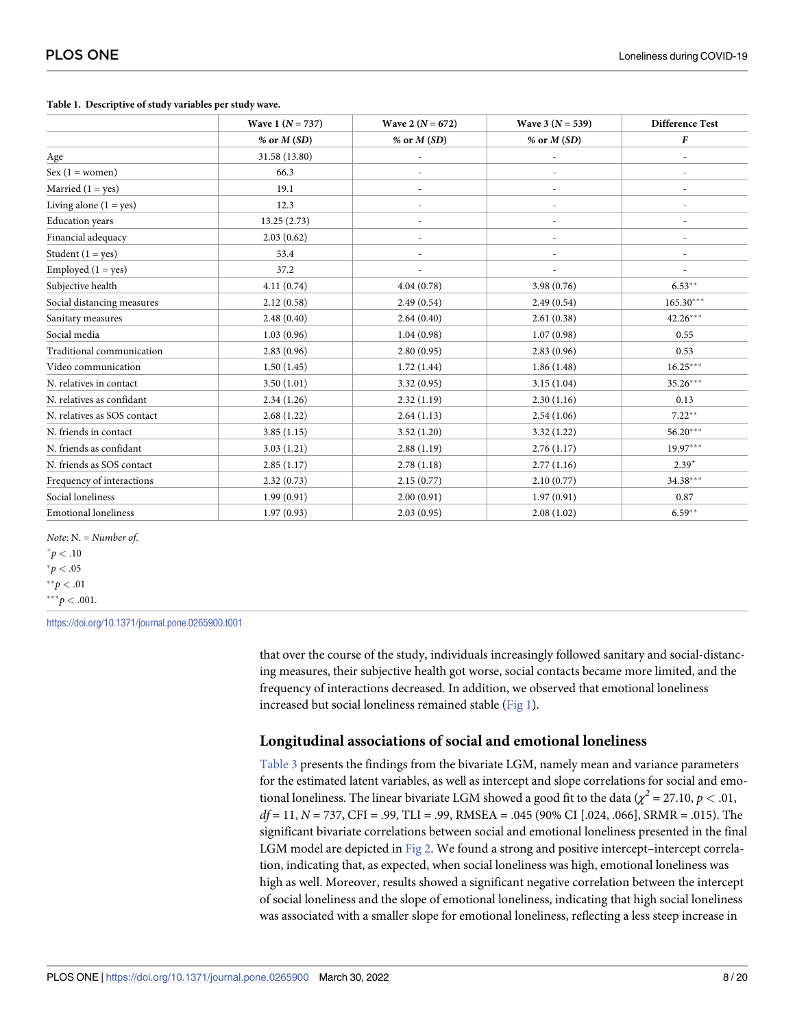#### <span id="page-7-0"></span>**[Table](#page-6-0) 1. Descriptive of study variables per study wave.**

|                             | Wave 1 $(N = 737)$ | Wave 2 ( $N = 672$ ) | Wave 3 $(N = 539)$ | <b>Difference Test</b> |
|-----------------------------|--------------------|----------------------|--------------------|------------------------|
|                             | % or $M(SD)$       | % or $M(SD)$         | % or $M(SD)$       | $\pmb{F}$              |
| Age                         | 31.58 (13.80)      |                      |                    |                        |
| $Sex (1 = women)$           | 66.3               |                      |                    |                        |
| Married $(1 = yes)$         | 19.1               |                      |                    |                        |
| Living alone $(1 = yes)$    | 12.3               |                      |                    |                        |
| <b>Education</b> years      | 13.25(2.73)        |                      |                    |                        |
| Financial adequacy          | 2.03(0.62)         |                      | ٠                  |                        |
| Student $(1 = yes)$         | 53.4               |                      | ÷.                 |                        |
| Employed $(1 = yes)$        | 37.2               |                      |                    |                        |
| Subjective health           | 4.11(0.74)         | 4.04(0.78)           | 3.98 (0.76)        | $6.53**$               |
| Social distancing measures  | 2.12(0.58)         | 2.49(0.54)           | 2.49(0.54)         | $165.30***$            |
| Sanitary measures           | 2.48(0.40)         | 2.64(0.40)           | 2.61(0.38)         | $42.26***$             |
| Social media                | 1.03(0.96)         | 1.04(0.98)           | 1.07(0.98)         | 0.55                   |
| Traditional communication   | 2.83(0.96)         | 2.80(0.95)           | 2.83(0.96)         | 0.53                   |
| Video communication         | 1.50(1.45)         | 1.72(1.44)           | 1.86(1.48)         | $16.25***$             |
| N. relatives in contact     | 3.50(1.01)         | 3.32(0.95)           | 3.15(1.04)         | 35.26***               |
| N. relatives as confidant   | 2.34(1.26)         | 2.32(1.19)           | 2.30(1.16)         | 0.13                   |
| N. relatives as SOS contact | 2.68(1.22)         | 2.64(1.13)           | 2.54(1.06)         | $7.22***$              |
| N. friends in contact       | 3.85(1.15)         | 3.52(1.20)           | 3.32(1.22)         | $56.20***$             |
| N. friends as confidant     | 3.03(1.21)         | 2.88(1.19)           | 2.76(1.17)         | $19.97***$             |
| N. friends as SOS contact   | 2.85(1.17)         | 2.78(1.18)           | 2.77(1.16)         | $2.39^{+}$             |
| Frequency of interactions   | 2.32(0.73)         | 2.15(0.77)           | 2.10(0.77)         | 34.38***               |
| Social loneliness           | 1.99(0.91)         | 2.00(0.91)           | 1.97(0.91)         | 0.87                   |
| <b>Emotional loneliness</b> | 1.97(0.93)         | 2.03(0.95)           | 2.08(1.02)         | $6.59**$               |

*Note*: N. = *Number of*.  $^{+}p < .10$  $p<.05$  $*^*p < .01$ 

 $***p<.001$ .

<https://doi.org/10.1371/journal.pone.0265900.t001>

that over the course of the study, individuals increasingly followed sanitary and social-distancing measures, their subjective health got worse, social contacts became more limited, and the frequency of interactions decreased. In addition, we observed that emotional loneliness increased but social loneliness remained stable [\(Fig](#page-9-0) 1).

# **Longitudinal associations of social and emotional loneliness**

[Table](#page-9-0) 3 presents the findings from the bivariate LGM, namely mean and variance parameters for the estimated latent variables, as well as intercept and slope correlations for social and emotional loneliness. The linear bivariate LGM showed a good fit to the data ( $\chi^2$  = 27.10, *p* < .01, *df* = 11, *N* = 737, CFI = .99, TLI = .99, RMSEA = .045 (90% CI [.024, .066], SRMR = .015). The significant bivariate correlations between social and emotional loneliness presented in the final LGM model are depicted in [Fig](#page-10-0) 2. We found a strong and positive intercept–intercept correlation, indicating that, as expected, when social loneliness was high, emotional loneliness was high as well. Moreover, results showed a significant negative correlation between the intercept of social loneliness and the slope of emotional loneliness, indicating that high social loneliness was associated with a smaller slope for emotional loneliness, reflecting a less steep increase in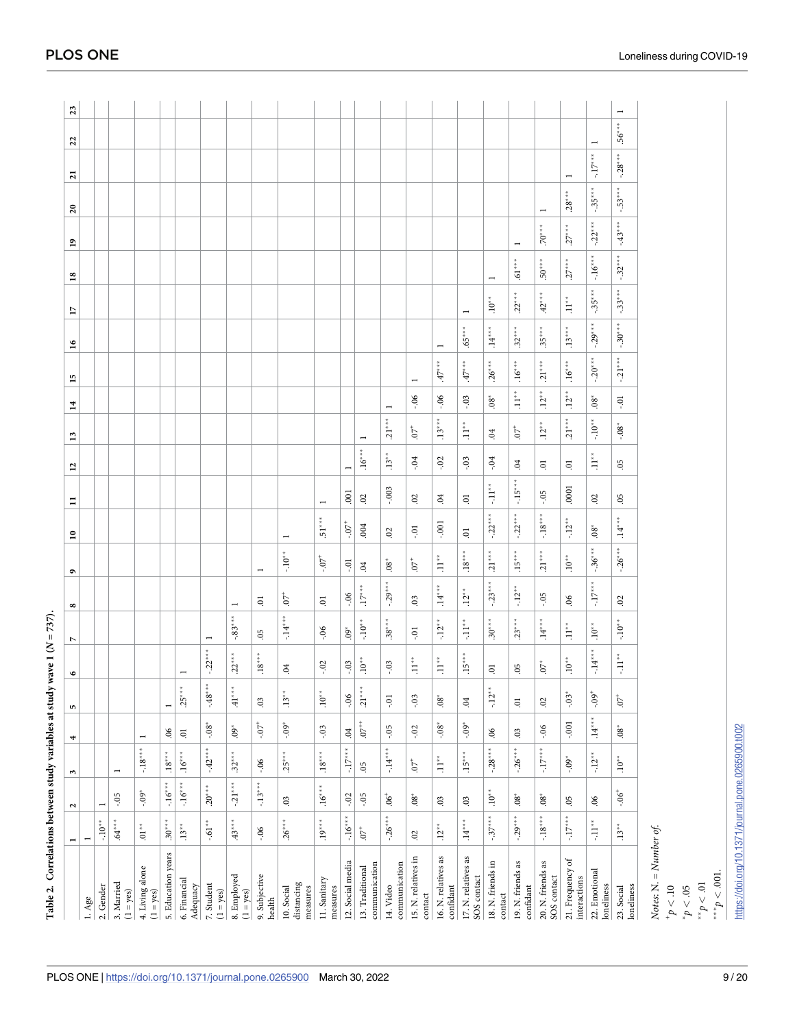<span id="page-8-0"></span>

| Table 2. Correlations between study variables at study wave 1 (N |                |                         |                     |                    |                     |                    | $= 737$ .           |                            |                          |                          |                |                          |                  |                          |                          |                |                                |                          |                    |                            |                           |                                 |  |
|------------------------------------------------------------------|----------------|-------------------------|---------------------|--------------------|---------------------|--------------------|---------------------|----------------------------|--------------------------|--------------------------|----------------|--------------------------|------------------|--------------------------|--------------------------|----------------|--------------------------------|--------------------------|--------------------|----------------------------|---------------------------|---------------------------------|--|
|                                                                  |                | $\overline{\mathbf{c}}$ | $\omega$            | 4                  | ю                   | $\bullet$          | L                   | ∞                          | $\bullet$                | $\mathbf{r}$             | Ξ              | $\overline{1}$           | $\mathbf{r}$     | $\overline{1}$           | 15                       | 16             | $\overline{17}$                | $^{18}$                  | ₽                  | $\boldsymbol{\mathsf{20}}$ | $\overline{21}$           | 23<br>22                        |  |
| $1. \text{Age}$                                                  |                |                         |                     |                    |                     |                    |                     |                            |                          |                          |                |                          |                  |                          |                          |                |                                |                          |                    |                            |                           |                                 |  |
| 2. Gender                                                        | $-10^{**}$     | $\overline{ }$          |                     |                    |                     |                    |                     |                            |                          |                          |                |                          |                  |                          |                          |                |                                |                          |                    |                            |                           |                                 |  |
| 3. Married<br>$(1 = yes)$                                        | $64***$        | $-0.5$                  | $\overline{ }$      |                    |                     |                    |                     |                            |                          |                          |                |                          |                  |                          |                          |                |                                |                          |                    |                            |                           |                                 |  |
| 4. Living alone<br>(1 = yes)                                     | $01^{**}$      | $-0.9$                  | $-18***$            | $\overline{ }$     |                     |                    |                     |                            |                          |                          |                |                          |                  |                          |                          |                |                                |                          |                    |                            |                           |                                 |  |
| 5. Education years                                               | $30^{*}$       | $-16***$                | $\cdot^{18^{***}}$  | $\rm 90$           | $\overline{ }$      |                    |                     |                            |                          |                          |                |                          |                  |                          |                          |                |                                |                          |                    |                            |                           |                                 |  |
| 6. Financial<br>Adequacy                                         | $.13**$        | $-16***$                | $.16***$            | $\Xi$              | $.25***$            | $\overline{ }$     |                     |                            |                          |                          |                |                          |                  |                          |                          |                |                                |                          |                    |                            |                           |                                 |  |
| 7. Student<br>$(1 = yes)$                                        | $-.61***$      | $.20***$                | $-42***$            | $-0.08$            | $-48***$            | $-22*$             |                     |                            |                          |                          |                |                          |                  |                          |                          |                |                                |                          |                    |                            |                           |                                 |  |
| 8. Employed<br>$(1 = yes)$                                       | $43***$        | $-21***$                | $.32***$            | $.60^{\circ}$      | $^{***}$ 1+ $\,$    | $22^{***}$         | $-83*$              | $\overline{\phantom{0}}$   |                          |                          |                |                          |                  |                          |                          |                |                                |                          |                    |                            |                           |                                 |  |
| 9. Subjective<br>health                                          | $-0.06$        | $-13***$                | $-0.06$             | $-50^{-1}$         | $\rm 03$            | $.18*$             | 05                  | $\Xi$                      | $\overline{\phantom{0}}$ |                          |                |                          |                  |                          |                          |                |                                |                          |                    |                            |                           |                                 |  |
| distancing<br>10. Social<br>measures                             | $.26*$         | 03                      | $.25***$            | $-0.05$            | $.13**$             | $\overline{6}$     | $\ddot{=}$          | 50<br>$\stackrel{*}{\ast}$ | $\sum_{i=1}^{n}$         | $\overline{\phantom{0}}$ |                |                          |                  |                          |                          |                |                                |                          |                    |                            |                           |                                 |  |
| 11. Sanitary<br>measures                                         | $.19^{***}$    | $.16***$                | $18^{\ast\ast\ast}$ | $-0.03$            | $.10**$             | $-0.02$            | $-0.06$             | $\Xi$                      | $-0.7$                   | $51**$                   |                |                          |                  |                          |                          |                |                                |                          |                    |                            |                           |                                 |  |
| 12. Social media                                                 | $-16***$       | $-0.2$                  | $*$<br>$\ddot{5}$   | $\ddot{q}$         | $-0.6$              | $-0.3$             | $\ddot{\mathbf{e}}$ | $-0.6$                     | $-0.1$                   | $-0.7$                   | $\overline{0}$ | $\overline{\phantom{0}}$ |                  |                          |                          |                |                                |                          |                    |                            |                           |                                 |  |
| communication<br>13. Traditional                                 | $\overline{5}$ | $-0.5$                  | $65$                | $07^{++}$          | $.21***$            | $.10*$             | $-10^{*}$           | $\frac{1}{2}$              | $\overline{0}$           | .004                     | 02             | $.16***$                 | $\overline{ }$   |                          |                          |                |                                |                          |                    |                            |                           |                                 |  |
| communication<br>14. Video                                       | $-26***$       | $-50$ .                 | $-14***$            | $-0.5$             | $-0.1$              | $-0.03$            | $38*$               | $-29*$                     | $.08*$                   | $\overline{0}$           | $-0.003$       | $.13*$                   | $.21***$         | $\overline{\phantom{0}}$ |                          |                |                                |                          |                    |                            |                           |                                 |  |
| 15. N. relatives in<br>contact                                   | $\mathfrak{S}$ | $\ddot{8}$              | $\ddot{\circ}$      | $-0.02$            | $-0.3$              | $\ddot{=}$         | Ģ                   | $03$                       | P.                       | $-0.7$                   | $\overline{0}$ | $-0.4$                   | $\ddot{\theta}$  | $-0.6$                   | $\overline{\phantom{a}}$ |                |                                |                          |                    |                            |                           |                                 |  |
| 16. N. relatives as<br>confidant                                 | $.12*$         | $03$                    | $\cdot$ 11          | $-0.8$             | $\ddot{8}$          | $\ddot{=}$         | $-12$ <sup>*</sup>  | $.14***$                   | $11**$                   | $-0.001$                 | $\ddot{c}$     | $-0.02$                  | $.13*$           | $-0.6$                   | $47^*$                   | $\overline{ }$ |                                |                          |                    |                            |                           |                                 |  |
| 17. N. relatives as<br>SOS contact                               | $.14***$       | 03                      | $.15***$            | $-0.9*$            | Ŕ.                  | $\frac{15}{1}$     | $\ddot{1}$          | $.12*$                     | $.18**$                  | ā                        | $\ddot{\circ}$ | $-03$                    | $\sum_{i=1}^{n}$ | $-0.3$                   | 47                       | $65^*$         | $\overline{\phantom{0}}$       |                          |                    |                            |                           |                                 |  |
| 18. N. friends in<br>$\cot$                                      | $-37***$       | $.10^{**}$              | $-28***$            | $\mathfrak{H}$     | $-12**$             | 5.                 | $30***$             | $-23***$                   | $21***$                  | $-0.22***$               | $\ddot{=}$     | $-0.4$                   | 64               | $8^*$                    | $.26***$                 | $14***$        | $\sum_{i=1}^{n}$               | $\overline{ }$           |                    |                            |                           |                                 |  |
| as<br>19. N. friends<br>$\operatorname{confidant}$               | $-29***$       | $.08*$                  | $-26***$            | 03                 | ā                   | 05                 | $23*$               | $-12^{*}$                  | $.15$ <sup>*</sup>       | $-22*$                   | ה<br>ה         | 5.                       | 5                | $\ddot{1}$               | $.16*$                   | $32*$          | $22*$                          | $\ddot{5}$               | $\overline{ }$     |                            |                           |                                 |  |
| as<br>20. N. friends<br>SOS contact                              | $-18***$       | $.08^*$                 | $-17***$            | $-0.06$            | $\ddot{\mathrm{s}}$ | Ğ.                 | $.14***$            | $-0.5$                     | $21***$                  | $-18***$                 | $-0.5$         | $\Xi$                    | $.12*$           | $.12*$                   | $.21***$                 | $.35***$       | $42*$                          | $\frac{*}{*}$<br>$50^*$  | $.70***$           | $\overline{\phantom{0}}$   |                           |                                 |  |
| $\mathfrak{o}\mathfrak{t}$<br>21. Frequency<br>interactions      | $-17***$       | 05                      | $-0.9$              | $-0.001$           | $-0.03*$            | $.10*$             | $\ddot{=}$          | $\rm 90$                   | $10^{*}$                 | $\ddot{5}$               | .000           | ā                        | $.21***$         | $\frac{1}{2}$            | $-16*$                   | $\ddot{1}3^*$  | $.11**$                        | $\frac{\pi}{2}$<br>$27*$ | $27***$            | $\overline{38}$            |                           |                                 |  |
| 22. Emotional<br>loneliness                                      | $-11**$        | $\rm 90$                | $-12*$              | $\cdot^{14^{***}}$ | $-0.9$              | $-14$ <sup>*</sup> | $\ddot{0}$          | $\sum_{i=1}^{n}$           | $-36*$                   | $\mathbf{8}^{\circ}$     | 02             | $\ddot{\vec{z}}$         | $-10*$           | $08^*$                   | $-20*$                   | $-29*$         | $\stackrel{*}{\ast}$<br>$-35*$ | $-16***$                 | $-22$ <sup>*</sup> | $-35^{\circ}$              | $\ddot{\phantom{0}}$ .17* | $\overline{ }$                  |  |
| loneliness<br>23. Social                                         | $.13**$        | $-90 -$                 | $.10^{*}$           | $8^{\circ}$        | $\overline{C}$ .    | $\ddot{ }$ .11*    | $\sum_{i=1}^{n}$    | 02                         | $-.26***$                | $.14***$                 | 05             | 05                       | $-0.8^{\circ}$   | $-0.1$                   | $-21***$                 | $-.30***$      | $-33***$                       | $-32***$                 | $-43***$           | $-53***$                   | $-28***$                  | $\overline{ }$<br>$*$<br>$56^*$ |  |
| Notes: N. = Number of.                                           |                |                         |                     |                    |                     |                    |                     |                            |                          |                          |                |                          |                  |                          |                          |                |                                |                          |                    |                            |                           |                                 |  |

PLOS ONE | https://doi.org/10.1371/journal.pone.0265900 March 30, 2022

https://doi.org/10.1371/journal.pone.0265900.t002

\*\*\* $p < .001$ .  $10^{\circ} > d_{\ast\ast}$  $\frac{50}{6} > d_*$ 

 $9/20$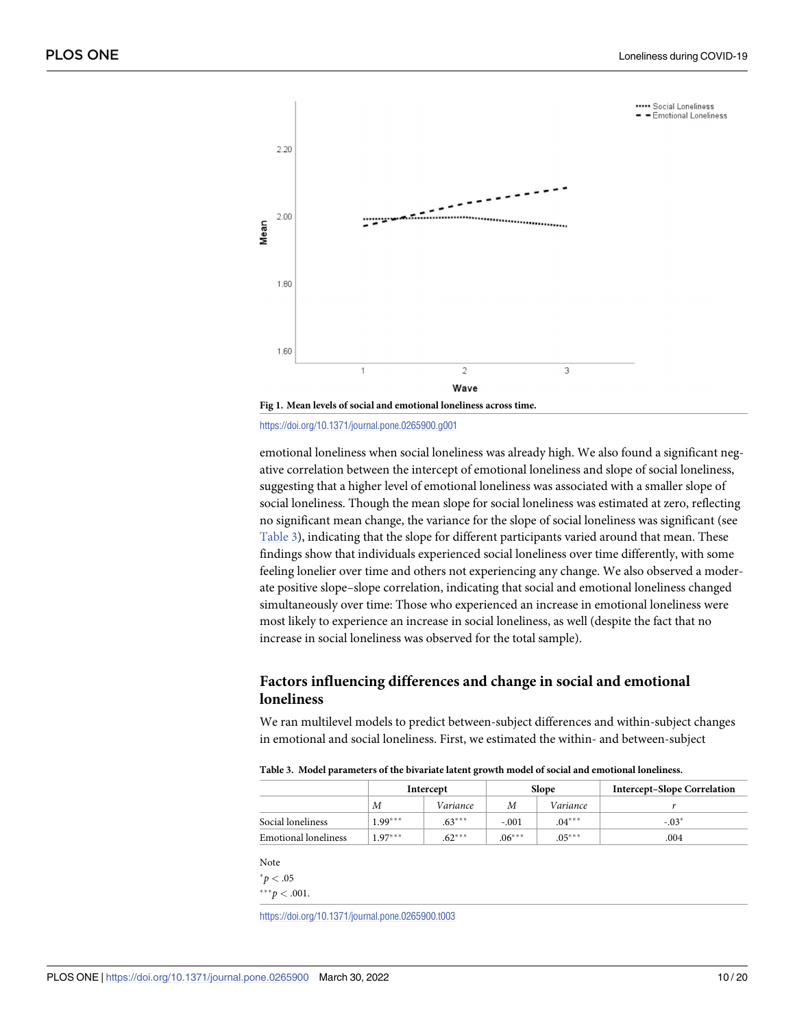<span id="page-9-0"></span>

<https://doi.org/10.1371/journal.pone.0265900.g001>

emotional loneliness when social loneliness was already high. We also found a significant negative correlation between the intercept of emotional loneliness and slope of social loneliness, suggesting that a higher level of emotional loneliness was associated with a smaller slope of social loneliness. Though the mean slope for social loneliness was estimated at zero, reflecting no significant mean change, the variance for the slope of social loneliness was significant (see Table 3), indicating that the slope for different participants varied around that mean. These findings show that individuals experienced social loneliness over time differently, with some feeling lonelier over time and others not experiencing any change. We also observed a moderate positive slope–slope correlation, indicating that social and emotional loneliness changed simultaneously over time: Those who experienced an increase in emotional loneliness were most likely to experience an increase in social loneliness, as well (despite the fact that no increase in social loneliness was observed for the total sample).

# **Factors influencing differences and change in social and emotional loneliness**

We ran multilevel models to predict between-subject differences and within-subject changes in emotional and social loneliness. First, we estimated the within- and between-subject

**[Table](#page-7-0) 3. Model parameters of the bivariate latent growth model of social and emotional loneliness.**

|                             | Intercept |          |          | <b>Slope</b> | <b>Intercept-Slope Correlation</b> |
|-----------------------------|-----------|----------|----------|--------------|------------------------------------|
|                             | M         | Variance | М        | Variance     |                                    |
| Social loneliness           | $1.99***$ | $.63***$ | $-.001$  | $.04***$     | $-03*$                             |
| <b>Emotional loneliness</b> | $1.97***$ | $.62***$ | $.06***$ | $.05***$     | .004                               |

Note

 $^{*}p < .05$ 

 $***p<.001$ .

<https://doi.org/10.1371/journal.pone.0265900.t003>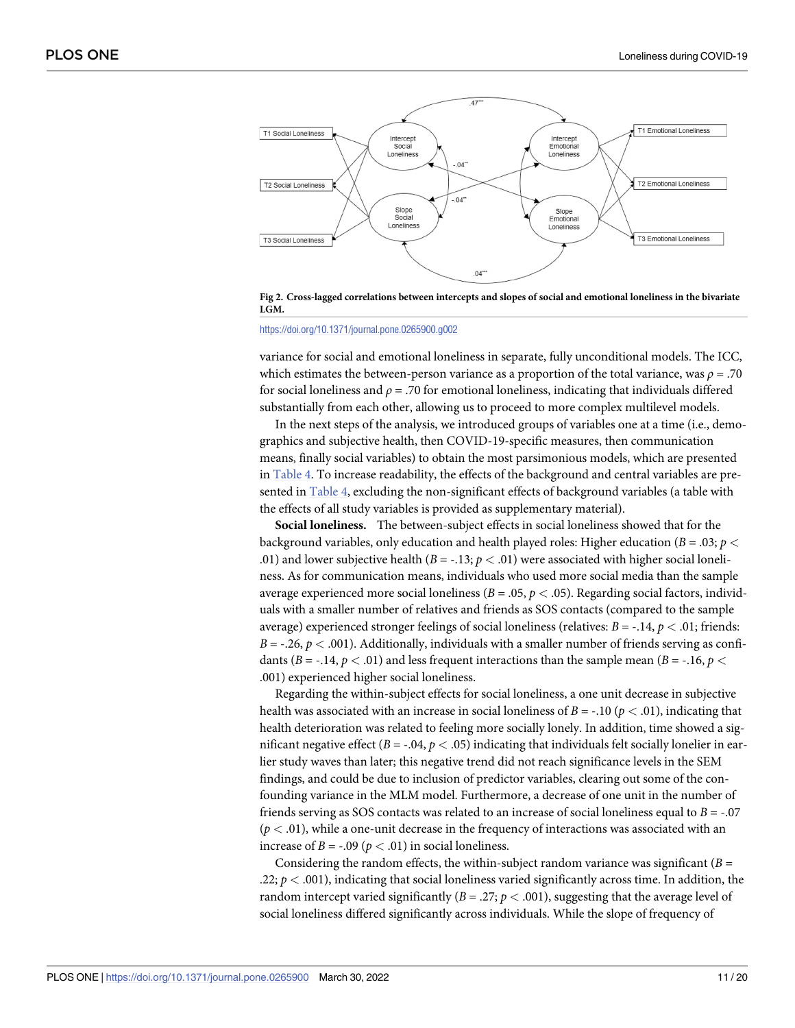<span id="page-10-0"></span>

[Fig](#page-7-0) 2. Cross-lagged correlations between intercepts and slopes of social and emotional loneliness in the bivariate **LGM.**

#### <https://doi.org/10.1371/journal.pone.0265900.g002>

variance for social and emotional loneliness in separate, fully unconditional models. The ICC, which estimates the between-person variance as a proportion of the total variance, was *ρ* = .70 for social loneliness and *ρ* = .70 for emotional loneliness, indicating that individuals differed substantially from each other, allowing us to proceed to more complex multilevel models.

In the next steps of the analysis, we introduced groups of variables one at a time (i.e., demographics and subjective health, then COVID-19-specific measures, then communication means, finally social variables) to obtain the most parsimonious models, which are presented in [Table](#page-11-0) 4. To increase readability, the effects of the background and central variables are presented in [Table](#page-11-0) 4, excluding the non-significant effects of background variables (a table with the effects of all study variables is provided as supplementary material).

**Social loneliness.** The between-subject effects in social loneliness showed that for the background variables, only education and health played roles: Higher education (*B* = .03; *p <* .01) and lower subjective health  $(B = -.13; p < .01)$  were associated with higher social loneliness. As for communication means, individuals who used more social media than the sample average experienced more social loneliness ( $B = .05$ ,  $p < .05$ ). Regarding social factors, individuals with a smaller number of relatives and friends as SOS contacts (compared to the sample average) experienced stronger feelings of social loneliness (relatives:  $B = -.14$ ,  $p < .01$ ; friends:  $B = -.26$ ,  $p < .001$ ). Additionally, individuals with a smaller number of friends serving as confidants ( $B = -.14$ ,  $p < .01$ ) and less frequent interactions than the sample mean ( $B = -.16$ ,  $p <$ .001) experienced higher social loneliness.

Regarding the within-subject effects for social loneliness, a one unit decrease in subjective health was associated with an increase in social loneliness of  $B = -10$  ( $p < .01$ ), indicating that health deterioration was related to feeling more socially lonely. In addition, time showed a significant negative effect ( $B = -0.04$ ,  $p < .05$ ) indicating that individuals felt socially lonelier in earlier study waves than later; this negative trend did not reach significance levels in the SEM findings, and could be due to inclusion of predictor variables, clearing out some of the confounding variance in the MLM model. Furthermore, a decrease of one unit in the number of friends serving as SOS contacts was related to an increase of social loneliness equal to *B* = -.07  $(p < .01)$ , while a one-unit decrease in the frequency of interactions was associated with an increase of  $B = -0.09$  ( $p < .01$ ) in social loneliness.

Considering the random effects, the within-subject random variance was significant  $(B =$ .22;  $p < .001$ ), indicating that social loneliness varied significantly across time. In addition, the random intercept varied significantly  $(B = .27; p < .001)$ , suggesting that the average level of social loneliness differed significantly across individuals. While the slope of frequency of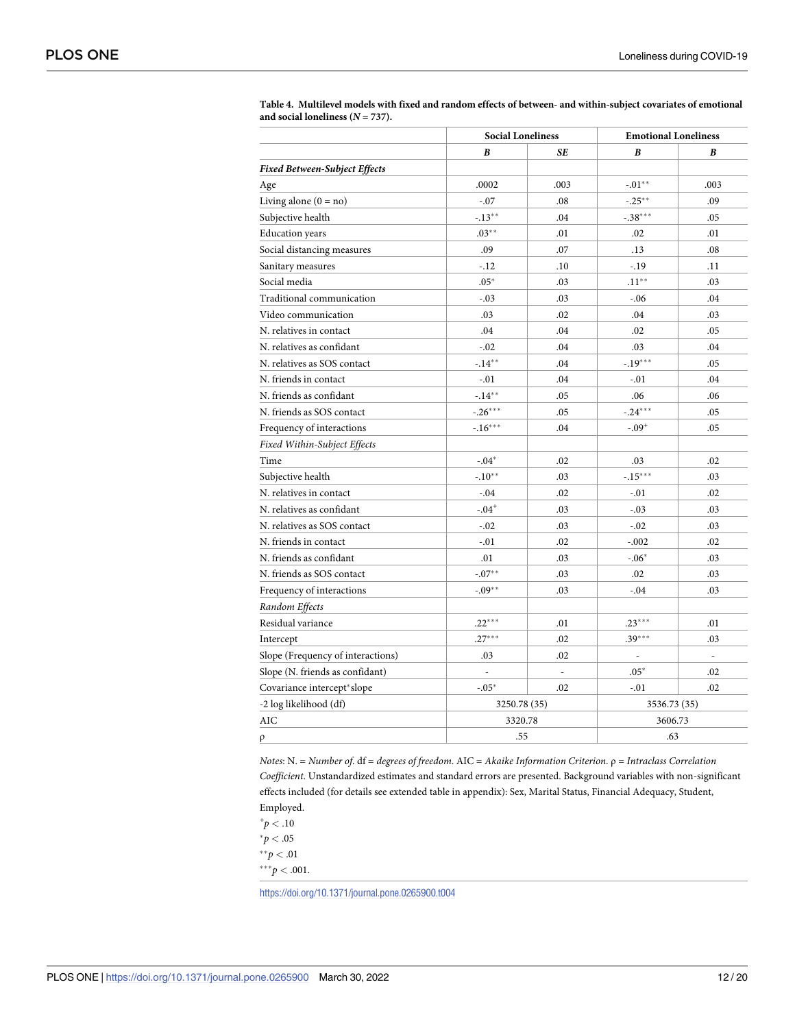|                                      | <b>Social Loneliness</b> |                | <b>Emotional Loneliness</b> |      |
|--------------------------------------|--------------------------|----------------|-----------------------------|------|
|                                      | B                        | SE             | B                           | R    |
| <b>Fixed Between-Subject Effects</b> |                          |                |                             |      |
| Age                                  | .0002                    | .003           | $-.01**$                    | .003 |
| Living alone $(0 = no)$              | $-.07$                   | .08            | $-.25**$                    | .09  |
| Subjective health                    | $-.13***$                | .04            | $-.38***$                   | .05  |
| <b>Education</b> years               | $.03***$                 | .01            | .02                         | .01  |
| Social distancing measures           | .09                      | .07            | .13                         | .08  |
| Sanitary measures                    | $-.12$                   | .10            | $-.19$                      | .11  |
| Social media                         | $.05*$                   | .03            | $.11***$                    | .03  |
| Traditional communication            | $-.03$                   | .03            | $-.06$                      | .04  |
| Video communication                  | .03                      | .02            | .04                         | .03  |
| N. relatives in contact              | .04                      | .04            | .02                         | .05  |
| N. relatives as confidant            | $-.02$                   | .04            | .03                         | .04  |
| N. relatives as SOS contact          | $-.14***$                | .04            | $-.19***$                   | .05  |
| N. friends in contact                | $-.01$                   | .04            | $-.01$                      | .04  |
| N. friends as confidant              | $-14**$                  | .05            | .06                         | .06  |
| N. friends as SOS contact            | $-.26***$                | .05            | $-.24***$                   | .05  |
| Frequency of interactions            | $-16***$                 | .04            | $-.09+$                     | .05  |
| Fixed Within-Subject Effects         |                          |                |                             |      |
| Time                                 | $-.04*$                  | .02            | .03                         | .02  |
| Subjective health                    | $-.10**$                 | .03            | $-.15***$                   | .03  |
| N. relatives in contact              | $-.04$                   | .02            | $-.01$                      | .02  |
| N. relatives as confidant            | $-.04$ <sup>+</sup>      | .03            | $-.03$                      | .03  |
| N. relatives as SOS contact          | $-.02$                   | .03            | $-.02$                      | .03  |
| N. friends in contact                | $-.01$                   | .02            | $-.002$                     | .02  |
| N. friends as confidant              | .01                      | .03            | $-.06*$                     | .03  |
| N. friends as SOS contact            | $-.07**$                 | .03            | .02                         | .03  |
| Frequency of interactions            | $-.09**$                 | .03            | $-.04$                      | .03  |
| Random Effects                       |                          |                |                             |      |
| Residual variance                    | $.22***$                 | .01            | $.23***$                    | .01  |
| Intercept                            | $.27***$                 | .02            | $.39***$                    | .03  |
| Slope (Frequency of interactions)    | .03                      | .02            |                             | ÷,   |
| Slope (N. friends as confidant)      | $\overline{a}$           | $\overline{a}$ | $.05*$                      | .02  |
| Covariance intercept*slope           | $-.05*$                  | .02            | $-.01$                      | .02  |
| -2 log likelihood (df)               | 3250.78 (35)             |                | 3536.73 (35)                |      |
| AIC                                  | 3320.78                  |                | 3606.73                     |      |
| ρ                                    |                          | .55            |                             | .63  |

<span id="page-11-0"></span>**[Table](#page-10-0) 4. Multilevel models with fixed and random effects of between- and within-subject covariates of emotional** and social loneliness  $(N = 737)$ .

*Notes*: N. = *Number of*. df = *degrees of freedom*. AIC = *Akaike Information Criterion*. ρ = *Intraclass Correlation Coefficient*. Unstandardized estimates and standard errors are presented. Background variables with non-significant effects included (for details see extended table in appendix): Sex, Marital Status, Financial Adequacy, Student, Employed.

 $^{+}p < .10$  $^{*}p < .05$  $*$ <sup>\*</sup> $p$ </sup> < .01

 $***p < .001$ .

<https://doi.org/10.1371/journal.pone.0265900.t004>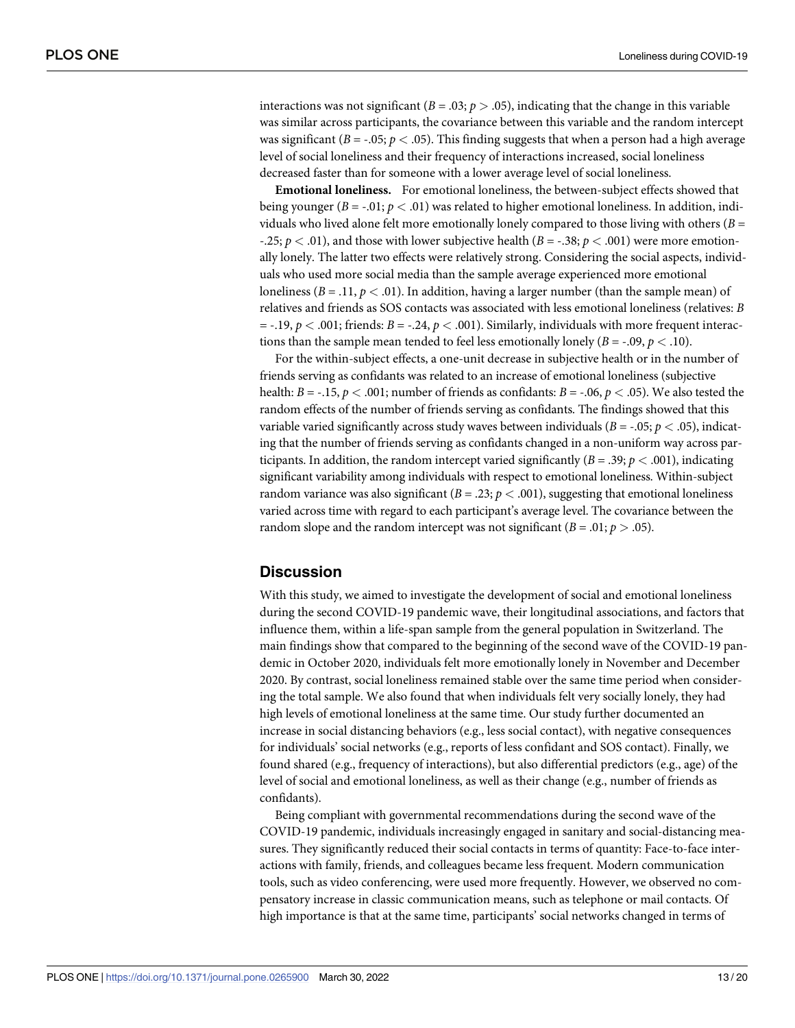interactions was not significant ( $B = .03$ ;  $p > .05$ ), indicating that the change in this variable was similar across participants, the covariance between this variable and the random intercept was significant ( $B = -0.05$ ;  $p < 0.05$ ). This finding suggests that when a person had a high average level of social loneliness and their frequency of interactions increased, social loneliness decreased faster than for someone with a lower average level of social loneliness.

**Emotional loneliness.** For emotional loneliness, the between-subject effects showed that being younger ( $B = -0.01$ ;  $p < .01$ ) was related to higher emotional loneliness. In addition, individuals who lived alone felt more emotionally lonely compared to those living with others  $(B =$ -.25; *p <* .01), and those with lower subjective health (*B* = -.38; *p <* .001) were more emotionally lonely. The latter two effects were relatively strong. Considering the social aspects, individuals who used more social media than the sample average experienced more emotional loneliness  $(B = .11, p < .01)$ . In addition, having a larger number (than the sample mean) of relatives and friends as SOS contacts was associated with less emotional loneliness (relatives: *B*  $=$  -.19,  $p < .001$ ; friends:  $B = .24$ ,  $p < .001$ ). Similarly, individuals with more frequent interactions than the sample mean tended to feel less emotionally lonely ( $B = -0.09$ ,  $p < 0.10$ ).

For the within-subject effects, a one-unit decrease in subjective health or in the number of friends serving as confidants was related to an increase of emotional loneliness (subjective health: *B* = -.15, *p*  $\lt$  .001; number of friends as confidants: *B* = -.06, *p*  $\lt$  .05). We also tested the random effects of the number of friends serving as confidants. The findings showed that this variable varied significantly across study waves between individuals (*B* = -.05; *p <* .05), indicating that the number of friends serving as confidants changed in a non-uniform way across participants. In addition, the random intercept varied significantly  $(B = .39; p < .001)$ , indicating significant variability among individuals with respect to emotional loneliness. Within-subject random variance was also significant ( $B = .23$ ;  $p < .001$ ), suggesting that emotional loneliness varied across time with regard to each participant's average level. The covariance between the random slope and the random intercept was not significant ( $B = .01$ ;  $p > .05$ ).

# **Discussion**

With this study, we aimed to investigate the development of social and emotional loneliness during the second COVID-19 pandemic wave, their longitudinal associations, and factors that influence them, within a life-span sample from the general population in Switzerland. The main findings show that compared to the beginning of the second wave of the COVID-19 pandemic in October 2020, individuals felt more emotionally lonely in November and December 2020. By contrast, social loneliness remained stable over the same time period when considering the total sample. We also found that when individuals felt very socially lonely, they had high levels of emotional loneliness at the same time. Our study further documented an increase in social distancing behaviors (e.g., less social contact), with negative consequences for individuals' social networks (e.g., reports of less confidant and SOS contact). Finally, we found shared (e.g., frequency of interactions), but also differential predictors (e.g., age) of the level of social and emotional loneliness, as well as their change (e.g., number of friends as confidants).

Being compliant with governmental recommendations during the second wave of the COVID-19 pandemic, individuals increasingly engaged in sanitary and social-distancing measures. They significantly reduced their social contacts in terms of quantity: Face-to-face interactions with family, friends, and colleagues became less frequent. Modern communication tools, such as video conferencing, were used more frequently. However, we observed no compensatory increase in classic communication means, such as telephone or mail contacts. Of high importance is that at the same time, participants' social networks changed in terms of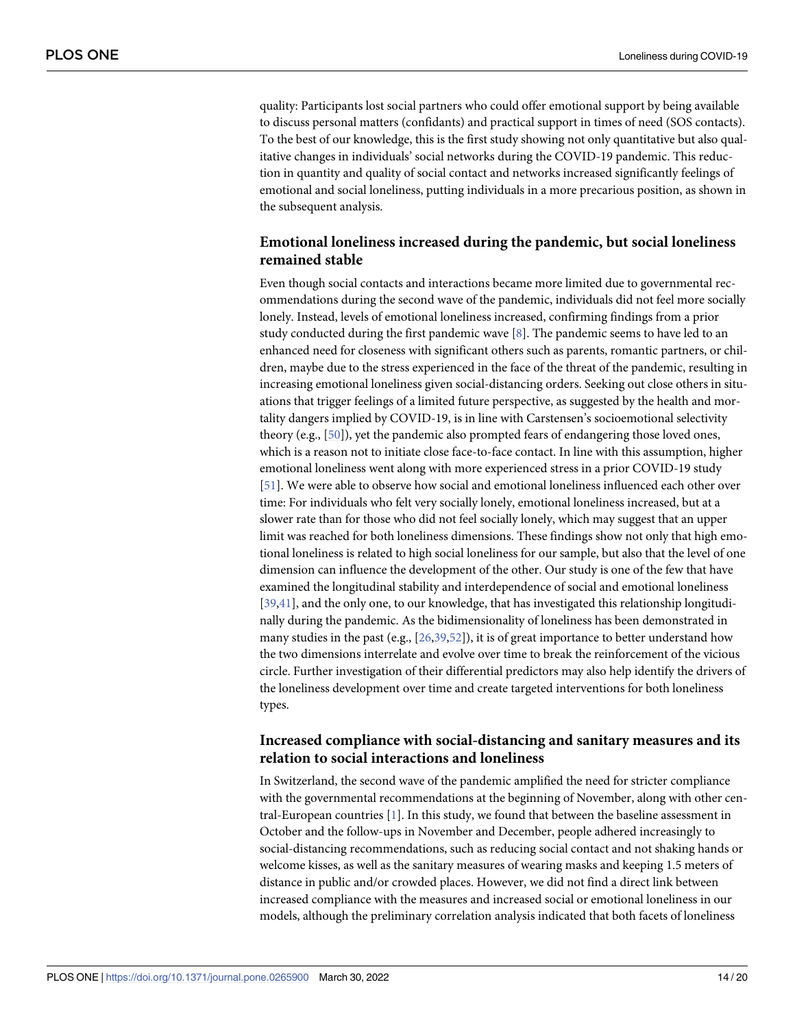<span id="page-13-0"></span>quality: Participants lost social partners who could offer emotional support by being available to discuss personal matters (confidants) and practical support in times of need (SOS contacts). To the best of our knowledge, this is the first study showing not only quantitative but also qualitative changes in individuals' social networks during the COVID-19 pandemic. This reduction in quantity and quality of social contact and networks increased significantly feelings of emotional and social loneliness, putting individuals in a more precarious position, as shown in the subsequent analysis.

# **Emotional loneliness increased during the pandemic, but social loneliness remained stable**

Even though social contacts and interactions became more limited due to governmental recommendations during the second wave of the pandemic, individuals did not feel more socially lonely. Instead, levels of emotional loneliness increased, confirming findings from a prior study conducted during the first pandemic wave [[8](#page-17-0)]. The pandemic seems to have led to an enhanced need for closeness with significant others such as parents, romantic partners, or children, maybe due to the stress experienced in the face of the threat of the pandemic, resulting in increasing emotional loneliness given social-distancing orders. Seeking out close others in situations that trigger feelings of a limited future perspective, as suggested by the health and mortality dangers implied by COVID-19, is in line with Carstensen's socioemotional selectivity theory (e.g., [[50](#page-19-0)]), yet the pandemic also prompted fears of endangering those loved ones, which is a reason not to initiate close face-to-face contact. In line with this assumption, higher emotional loneliness went along with more experienced stress in a prior COVID-19 study [\[51\]](#page-19-0). We were able to observe how social and emotional loneliness influenced each other over time: For individuals who felt very socially lonely, emotional loneliness increased, but at a slower rate than for those who did not feel socially lonely, which may suggest that an upper limit was reached for both loneliness dimensions. These findings show not only that high emotional loneliness is related to high social loneliness for our sample, but also that the level of one dimension can influence the development of the other. Our study is one of the few that have examined the longitudinal stability and interdependence of social and emotional loneliness [\[39](#page-18-0)[,41\]](#page-19-0), and the only one, to our knowledge, that has investigated this relationship longitudinally during the pandemic. As the bidimensionality of loneliness has been demonstrated in many studies in the past (e.g.,  $[26,39,52]$  $[26,39,52]$  $[26,39,52]$ ), it is of great importance to better understand how the two dimensions interrelate and evolve over time to break the reinforcement of the vicious circle. Further investigation of their differential predictors may also help identify the drivers of the loneliness development over time and create targeted interventions for both loneliness types.

# **Increased compliance with social-distancing and sanitary measures and its relation to social interactions and loneliness**

In Switzerland, the second wave of the pandemic amplified the need for stricter compliance with the governmental recommendations at the beginning of November, along with other central-European countries  $[1]$ . In this study, we found that between the baseline assessment in October and the follow-ups in November and December, people adhered increasingly to social-distancing recommendations, such as reducing social contact and not shaking hands or welcome kisses, as well as the sanitary measures of wearing masks and keeping 1.5 meters of distance in public and/or crowded places. However, we did not find a direct link between increased compliance with the measures and increased social or emotional loneliness in our models, although the preliminary correlation analysis indicated that both facets of loneliness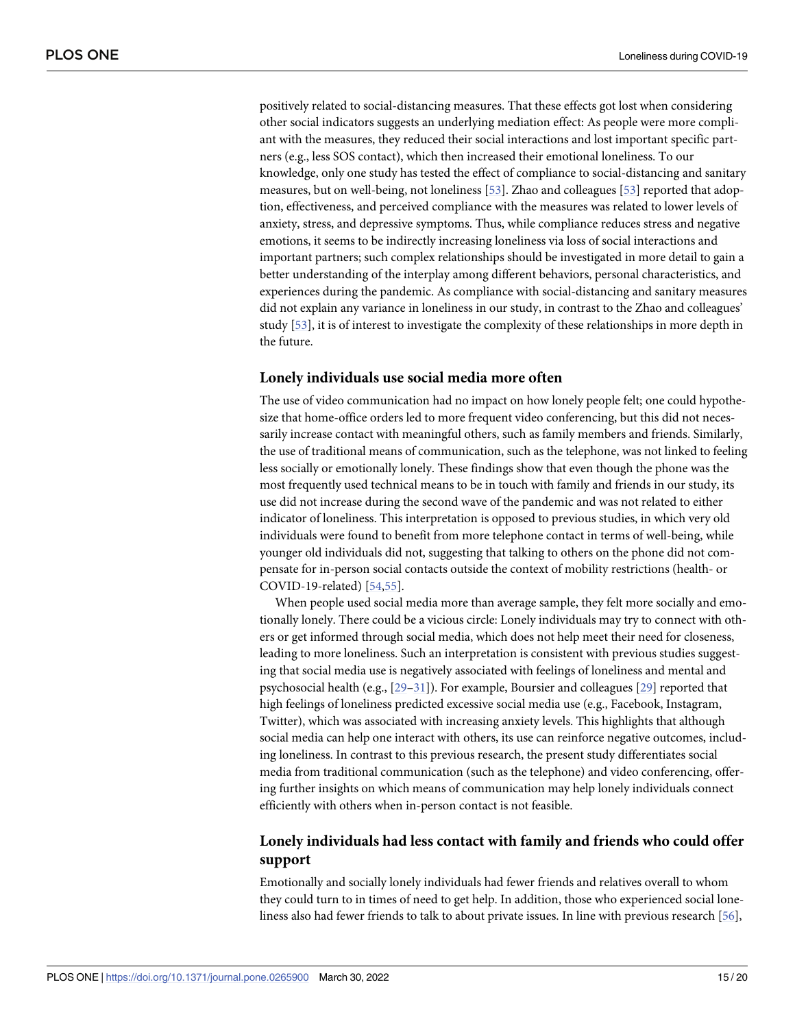<span id="page-14-0"></span>positively related to social-distancing measures. That these effects got lost when considering other social indicators suggests an underlying mediation effect: As people were more compliant with the measures, they reduced their social interactions and lost important specific partners (e.g., less SOS contact), which then increased their emotional loneliness. To our knowledge, only one study has tested the effect of compliance to social-distancing and sanitary measures, but on well-being, not loneliness [[53](#page-19-0)]. Zhao and colleagues [\[53\]](#page-19-0) reported that adoption, effectiveness, and perceived compliance with the measures was related to lower levels of anxiety, stress, and depressive symptoms. Thus, while compliance reduces stress and negative emotions, it seems to be indirectly increasing loneliness via loss of social interactions and important partners; such complex relationships should be investigated in more detail to gain a better understanding of the interplay among different behaviors, personal characteristics, and experiences during the pandemic. As compliance with social-distancing and sanitary measures did not explain any variance in loneliness in our study, in contrast to the Zhao and colleagues' study [\[53\]](#page-19-0), it is of interest to investigate the complexity of these relationships in more depth in the future.

# **Lonely individuals use social media more often**

The use of video communication had no impact on how lonely people felt; one could hypothesize that home-office orders led to more frequent video conferencing, but this did not necessarily increase contact with meaningful others, such as family members and friends. Similarly, the use of traditional means of communication, such as the telephone, was not linked to feeling less socially or emotionally lonely. These findings show that even though the phone was the most frequently used technical means to be in touch with family and friends in our study, its use did not increase during the second wave of the pandemic and was not related to either indicator of loneliness. This interpretation is opposed to previous studies, in which very old individuals were found to benefit from more telephone contact in terms of well-being, while younger old individuals did not, suggesting that talking to others on the phone did not compensate for in-person social contacts outside the context of mobility restrictions (health- or COVID-19-related) [[54,55\]](#page-19-0).

When people used social media more than average sample, they felt more socially and emotionally lonely. There could be a vicious circle: Lonely individuals may try to connect with others or get informed through social media, which does not help meet their need for closeness, leading to more loneliness. Such an interpretation is consistent with previous studies suggesting that social media use is negatively associated with feelings of loneliness and mental and psychosocial health (e.g., [[29](#page-18-0)–[31](#page-18-0)]). For example, Boursier and colleagues [\[29\]](#page-18-0) reported that high feelings of loneliness predicted excessive social media use (e.g., Facebook, Instagram, Twitter), which was associated with increasing anxiety levels. This highlights that although social media can help one interact with others, its use can reinforce negative outcomes, including loneliness. In contrast to this previous research, the present study differentiates social media from traditional communication (such as the telephone) and video conferencing, offering further insights on which means of communication may help lonely individuals connect efficiently with others when in-person contact is not feasible.

# **Lonely individuals had less contact with family and friends who could offer support**

Emotionally and socially lonely individuals had fewer friends and relatives overall to whom they could turn to in times of need to get help. In addition, those who experienced social loneliness also had fewer friends to talk to about private issues. In line with previous research [\[56\]](#page-19-0),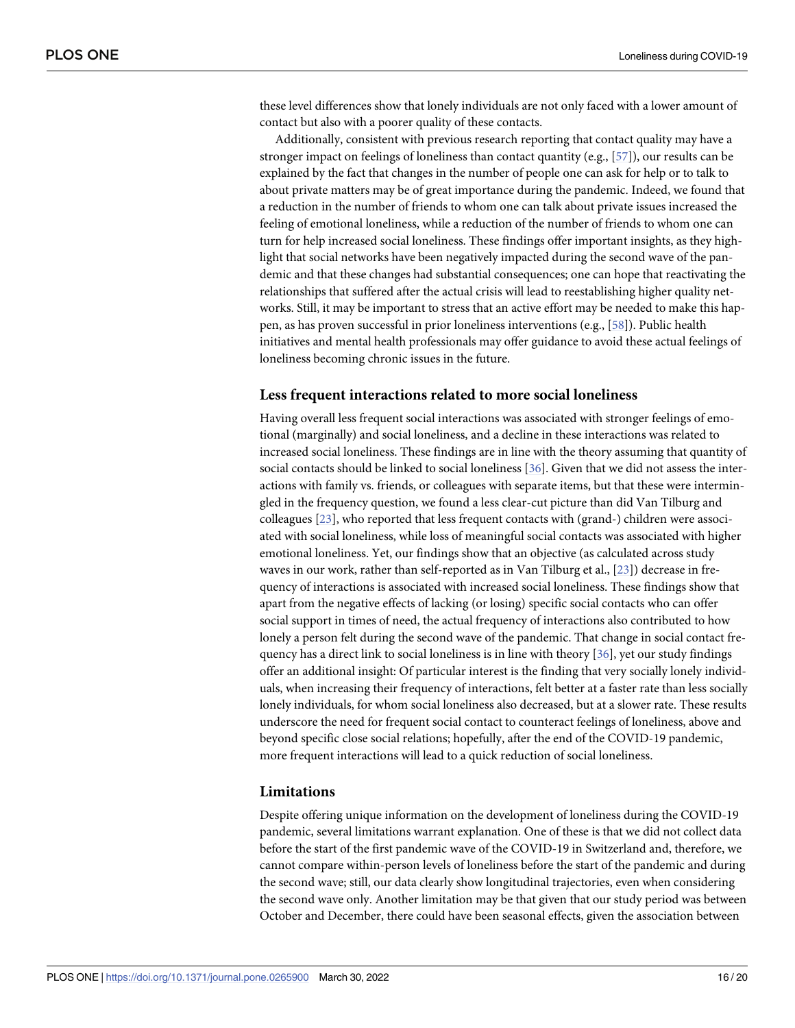<span id="page-15-0"></span>these level differences show that lonely individuals are not only faced with a lower amount of contact but also with a poorer quality of these contacts.

Additionally, consistent with previous research reporting that contact quality may have a stronger impact on feelings of loneliness than contact quantity (e.g., [\[57\]](#page-19-0)), our results can be explained by the fact that changes in the number of people one can ask for help or to talk to about private matters may be of great importance during the pandemic. Indeed, we found that a reduction in the number of friends to whom one can talk about private issues increased the feeling of emotional loneliness, while a reduction of the number of friends to whom one can turn for help increased social loneliness. These findings offer important insights, as they highlight that social networks have been negatively impacted during the second wave of the pandemic and that these changes had substantial consequences; one can hope that reactivating the relationships that suffered after the actual crisis will lead to reestablishing higher quality networks. Still, it may be important to stress that an active effort may be needed to make this happen, as has proven successful in prior loneliness interventions (e.g., [\[58\]](#page-19-0)). Public health initiatives and mental health professionals may offer guidance to avoid these actual feelings of loneliness becoming chronic issues in the future.

#### **Less frequent interactions related to more social loneliness**

Having overall less frequent social interactions was associated with stronger feelings of emotional (marginally) and social loneliness, and a decline in these interactions was related to increased social loneliness. These findings are in line with the theory assuming that quantity of social contacts should be linked to social loneliness [\[36\]](#page-18-0). Given that we did not assess the interactions with family vs. friends, or colleagues with separate items, but that these were intermingled in the frequency question, we found a less clear-cut picture than did Van Tilburg and colleagues [\[23\]](#page-18-0), who reported that less frequent contacts with (grand-) children were associated with social loneliness, while loss of meaningful social contacts was associated with higher emotional loneliness. Yet, our findings show that an objective (as calculated across study waves in our work, rather than self-reported as in Van Tilburg et al., [\[23\]](#page-18-0)) decrease in frequency of interactions is associated with increased social loneliness. These findings show that apart from the negative effects of lacking (or losing) specific social contacts who can offer social support in times of need, the actual frequency of interactions also contributed to how lonely a person felt during the second wave of the pandemic. That change in social contact frequency has a direct link to social loneliness is in line with theory [[36](#page-18-0)], yet our study findings offer an additional insight: Of particular interest is the finding that very socially lonely individuals, when increasing their frequency of interactions, felt better at a faster rate than less socially lonely individuals, for whom social loneliness also decreased, but at a slower rate. These results underscore the need for frequent social contact to counteract feelings of loneliness, above and beyond specific close social relations; hopefully, after the end of the COVID-19 pandemic, more frequent interactions will lead to a quick reduction of social loneliness.

# **Limitations**

Despite offering unique information on the development of loneliness during the COVID-19 pandemic, several limitations warrant explanation. One of these is that we did not collect data before the start of the first pandemic wave of the COVID-19 in Switzerland and, therefore, we cannot compare within-person levels of loneliness before the start of the pandemic and during the second wave; still, our data clearly show longitudinal trajectories, even when considering the second wave only. Another limitation may be that given that our study period was between October and December, there could have been seasonal effects, given the association between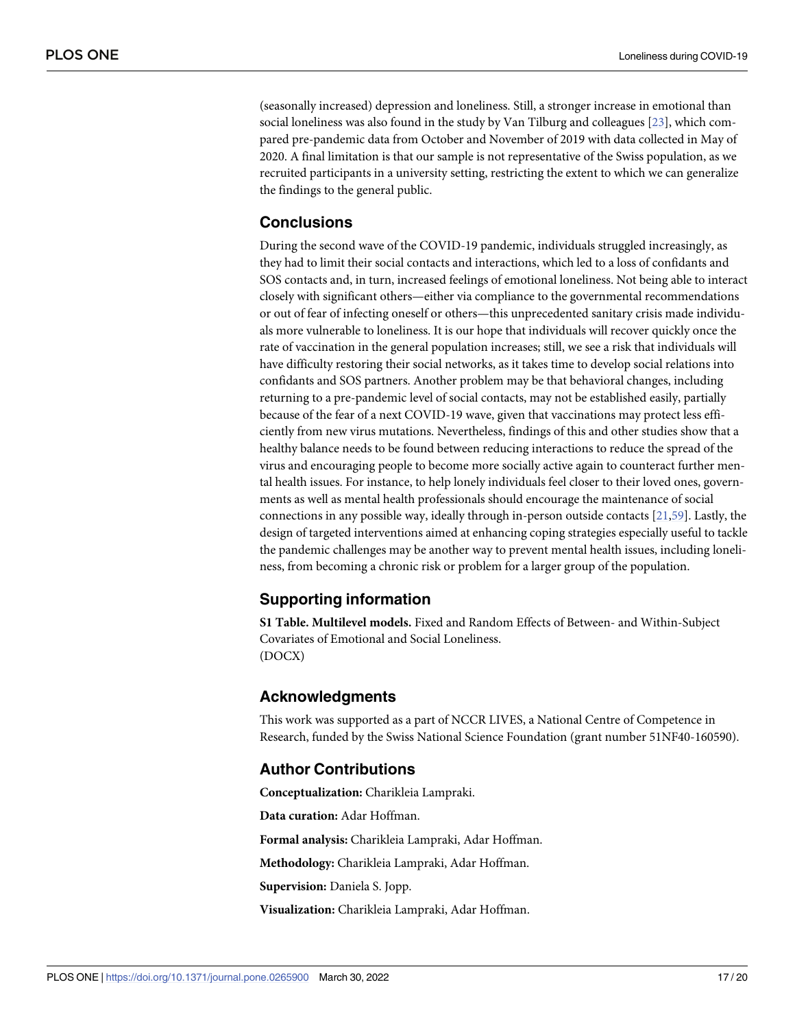<span id="page-16-0"></span>(seasonally increased) depression and loneliness. Still, a stronger increase in emotional than social loneliness was also found in the study by Van Tilburg and colleagues [\[23\]](#page-18-0), which compared pre-pandemic data from October and November of 2019 with data collected in May of 2020. A final limitation is that our sample is not representative of the Swiss population, as we recruited participants in a university setting, restricting the extent to which we can generalize the findings to the general public.

# **Conclusions**

During the second wave of the COVID-19 pandemic, individuals struggled increasingly, as they had to limit their social contacts and interactions, which led to a loss of confidants and SOS contacts and, in turn, increased feelings of emotional loneliness. Not being able to interact closely with significant others—either via compliance to the governmental recommendations or out of fear of infecting oneself or others—this unprecedented sanitary crisis made individuals more vulnerable to loneliness. It is our hope that individuals will recover quickly once the rate of vaccination in the general population increases; still, we see a risk that individuals will have difficulty restoring their social networks, as it takes time to develop social relations into confidants and SOS partners. Another problem may be that behavioral changes, including returning to a pre-pandemic level of social contacts, may not be established easily, partially because of the fear of a next COVID-19 wave, given that vaccinations may protect less efficiently from new virus mutations. Nevertheless, findings of this and other studies show that a healthy balance needs to be found between reducing interactions to reduce the spread of the virus and encouraging people to become more socially active again to counteract further mental health issues. For instance, to help lonely individuals feel closer to their loved ones, governments as well as mental health professionals should encourage the maintenance of social connections in any possible way, ideally through in-person outside contacts [[21](#page-18-0)[,59\]](#page-19-0). Lastly, the design of targeted interventions aimed at enhancing coping strategies especially useful to tackle the pandemic challenges may be another way to prevent mental health issues, including loneliness, from becoming a chronic risk or problem for a larger group of the population.

# **Supporting information**

**S1 [Table.](http://www.plosone.org/article/fetchSingleRepresentation.action?uri=info:doi/10.1371/journal.pone.0265900.s001) Multilevel models.** Fixed and Random Effects of Between- and Within-Subject Covariates of Emotional and Social Loneliness. (DOCX)

# **Acknowledgments**

This work was supported as a part of NCCR LIVES, a National Centre of Competence in Research, funded by the Swiss National Science Foundation (grant number 51NF40-160590).

# **Author Contributions**

**Conceptualization:** Charikleia Lampraki.

**Data curation:** Adar Hoffman.

**Formal analysis:** Charikleia Lampraki, Adar Hoffman.

**Methodology:** Charikleia Lampraki, Adar Hoffman.

**Supervision:** Daniela S. Jopp.

**Visualization:** Charikleia Lampraki, Adar Hoffman.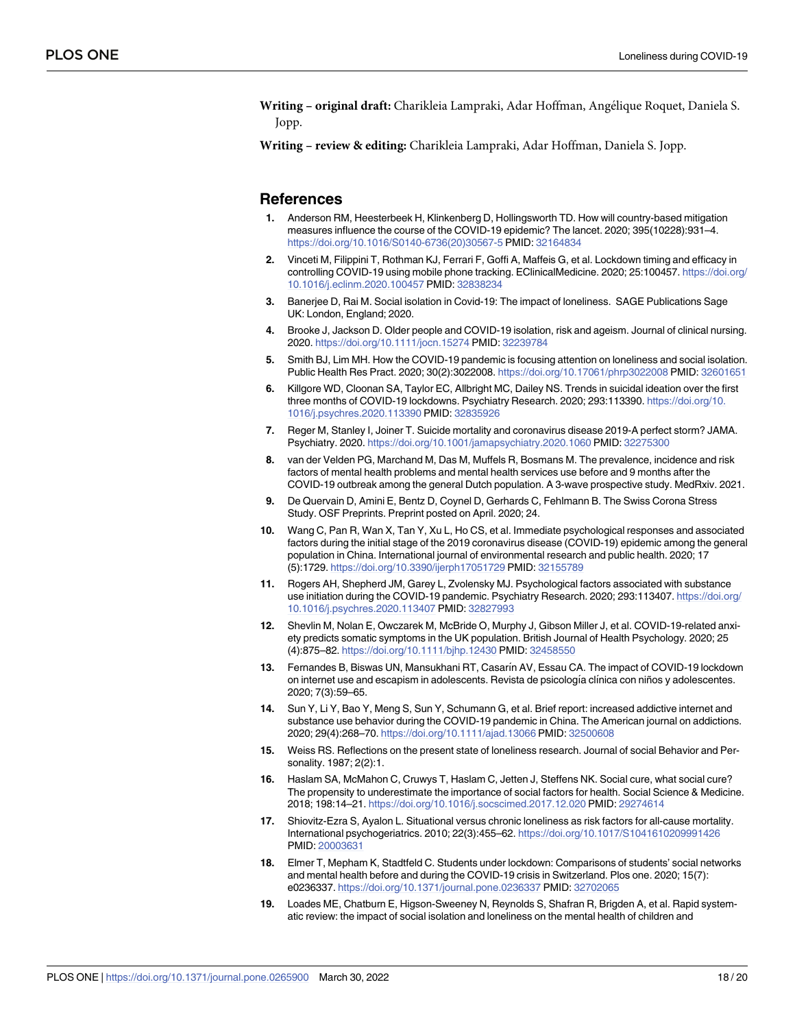- <span id="page-17-0"></span>**Writing** – **original draft:** Charikleia Lampraki, Adar Hoffman, Angélique Roquet, Daniela S. Jopp.
- **Writing – review & editing:** Charikleia Lampraki, Adar Hoffman, Daniela S. Jopp.

#### **References**

- **[1](#page-13-0).** Anderson RM, Heesterbeek H, Klinkenberg D, Hollingsworth TD. How will country-based mitigation measures influence the course of the COVID-19 epidemic? The lancet. 2020; 395(10228):931–4. [https://doi.org/10.1016/S0140-6736\(20\)30567-5](https://doi.org/10.1016/S0140-6736%2820%2930567-5) PMID: [32164834](http://www.ncbi.nlm.nih.gov/pubmed/32164834)
- **[2](#page-6-0).** Vinceti M, Filippini T, Rothman KJ, Ferrari F, Goffi A, Maffeis G, et al. Lockdown timing and efficacy in controlling COVID-19 using mobile phone tracking. EClinicalMedicine. 2020; 25:100457. [https://doi.org/](https://doi.org/10.1016/j.eclinm.2020.100457) [10.1016/j.eclinm.2020.100457](https://doi.org/10.1016/j.eclinm.2020.100457) PMID: [32838234](http://www.ncbi.nlm.nih.gov/pubmed/32838234)
- **[3](#page-1-0).** Banerjee D, Rai M. Social isolation in Covid-19: The impact of loneliness. SAGE Publications Sage UK: London, England; 2020.
- **4.** Brooke J, Jackson D. Older people and COVID-19 isolation, risk and ageism. Journal of clinical nursing. 2020. <https://doi.org/10.1111/jocn.15274> PMID: [32239784](http://www.ncbi.nlm.nih.gov/pubmed/32239784)
- **[5](#page-1-0).** Smith BJ, Lim MH. How the COVID-19 pandemic is focusing attention on loneliness and social isolation. Public Health Res Pract. 2020; 30(2):3022008. <https://doi.org/10.17061/phrp3022008> PMID: [32601651](http://www.ncbi.nlm.nih.gov/pubmed/32601651)
- **[6](#page-1-0).** Killgore WD, Cloonan SA, Taylor EC, Allbright MC, Dailey NS. Trends in suicidal ideation over the first three months of COVID-19 lockdowns. Psychiatry Research. 2020; 293:113390. [https://doi.org/10.](https://doi.org/10.1016/j.psychres.2020.113390) [1016/j.psychres.2020.113390](https://doi.org/10.1016/j.psychres.2020.113390) PMID: [32835926](http://www.ncbi.nlm.nih.gov/pubmed/32835926)
- **[7](#page-1-0).** Reger M, Stanley I, Joiner T. Suicide mortality and coronavirus disease 2019-A perfect storm? JAMA. Psychiatry. 2020. <https://doi.org/10.1001/jamapsychiatry.2020.1060> PMID: [32275300](http://www.ncbi.nlm.nih.gov/pubmed/32275300)
- **[8](#page-13-0).** van der Velden PG, Marchand M, Das M, Muffels R, Bosmans M. The prevalence, incidence and risk factors of mental health problems and mental health services use before and 9 months after the COVID-19 outbreak among the general Dutch population. A 3-wave prospective study. MedRxiv. 2021.
- **[9](#page-1-0).** De Quervain D, Amini E, Bentz D, Coynel D, Gerhards C, Fehlmann B. The Swiss Corona Stress Study. OSF Preprints. Preprint posted on April. 2020; 24.
- **[10](#page-1-0).** Wang C, Pan R, Wan X, Tan Y, Xu L, Ho CS, et al. Immediate psychological responses and associated factors during the initial stage of the 2019 coronavirus disease (COVID-19) epidemic among the general population in China. International journal of environmental research and public health. 2020; 17 (5):1729. <https://doi.org/10.3390/ijerph17051729> PMID: [32155789](http://www.ncbi.nlm.nih.gov/pubmed/32155789)
- **[11](#page-1-0).** Rogers AH, Shepherd JM, Garey L, Zvolensky MJ. Psychological factors associated with substance use initiation during the COVID-19 pandemic. Psychiatry Research. 2020; 293:113407. [https://doi.org/](https://doi.org/10.1016/j.psychres.2020.113407) [10.1016/j.psychres.2020.113407](https://doi.org/10.1016/j.psychres.2020.113407) PMID: [32827993](http://www.ncbi.nlm.nih.gov/pubmed/32827993)
- **[12](#page-1-0).** Shevlin M, Nolan E, Owczarek M, McBride O, Murphy J, Gibson Miller J, et al. COVID-19-related anxiety predicts somatic symptoms in the UK population. British Journal of Health Psychology. 2020; 25 (4):875–82. <https://doi.org/10.1111/bjhp.12430> PMID: [32458550](http://www.ncbi.nlm.nih.gov/pubmed/32458550)
- **[13](#page-1-0).** Fernandes B, Biswas UN, Mansukhani RT, Casarı´n AV, Essau CA. The impact of COVID-19 lockdown on internet use and escapism in adolescents. Revista de psicología clínica con niños y adolescentes. 2020; 7(3):59–65.
- **[14](#page-1-0).** Sun Y, Li Y, Bao Y, Meng S, Sun Y, Schumann G, et al. Brief report: increased addictive internet and substance use behavior during the COVID-19 pandemic in China. The American journal on addictions. 2020; 29(4):268–70. <https://doi.org/10.1111/ajad.13066> PMID: [32500608](http://www.ncbi.nlm.nih.gov/pubmed/32500608)
- **[15](#page-1-0).** Weiss RS. Reflections on the present state of loneliness research. Journal of social Behavior and Personality. 1987; 2(2):1.
- **[16](#page-1-0).** Haslam SA, McMahon C, Cruwys T, Haslam C, Jetten J, Steffens NK. Social cure, what social cure? The propensity to underestimate the importance of social factors for health. Social Science & Medicine. 2018; 198:14–21. <https://doi.org/10.1016/j.socscimed.2017.12.020> PMID: [29274614](http://www.ncbi.nlm.nih.gov/pubmed/29274614)
- **[17](#page-1-0).** Shiovitz-Ezra S, Ayalon L. Situational versus chronic loneliness as risk factors for all-cause mortality. International psychogeriatrics. 2010; 22(3):455–62. <https://doi.org/10.1017/S1041610209991426> PMID: [20003631](http://www.ncbi.nlm.nih.gov/pubmed/20003631)
- **[18](#page-1-0).** Elmer T, Mepham K, Stadtfeld C. Students under lockdown: Comparisons of students' social networks and mental health before and during the COVID-19 crisis in Switzerland. Plos one. 2020; 15(7): e0236337. <https://doi.org/10.1371/journal.pone.0236337> PMID: [32702065](http://www.ncbi.nlm.nih.gov/pubmed/32702065)
- **[19](#page-1-0).** Loades ME, Chatburn E, Higson-Sweeney N, Reynolds S, Shafran R, Brigden A, et al. Rapid systematic review: the impact of social isolation and loneliness on the mental health of children and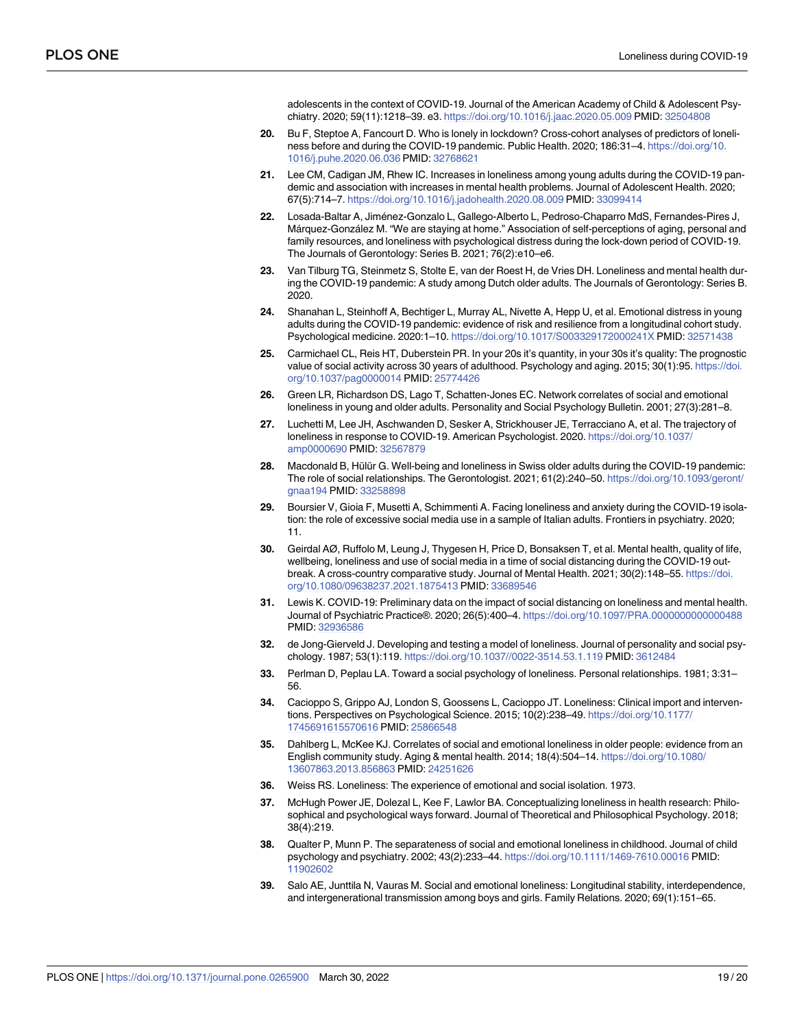adolescents in the context of COVID-19. Journal of the American Academy of Child & Adolescent Psychiatry. 2020; 59(11):1218–39. e3. <https://doi.org/10.1016/j.jaac.2020.05.009> PMID: [32504808](http://www.ncbi.nlm.nih.gov/pubmed/32504808)

- <span id="page-18-0"></span>**[20](#page-1-0).** Bu F, Steptoe A, Fancourt D. Who is lonely in lockdown? Cross-cohort analyses of predictors of loneliness before and during the COVID-19 pandemic. Public Health. 2020; 186:31–4. [https://doi.org/10.](https://doi.org/10.1016/j.puhe.2020.06.036) [1016/j.puhe.2020.06.036](https://doi.org/10.1016/j.puhe.2020.06.036) PMID: [32768621](http://www.ncbi.nlm.nih.gov/pubmed/32768621)
- **[21](#page-1-0).** Lee CM, Cadigan JM, Rhew IC. Increases in loneliness among young adults during the COVID-19 pandemic and association with increases in mental health problems. Journal of Adolescent Health. 2020; 67(5):714–7. <https://doi.org/10.1016/j.jadohealth.2020.08.009> PMID: [33099414](http://www.ncbi.nlm.nih.gov/pubmed/33099414)
- [22](#page-4-0). Losada-Baltar A, Jiménez-Gonzalo L, Gallego-Alberto L, Pedroso-Chaparro MdS, Fernandes-Pires J, Márquez-González M. "We are staying at home." Association of self-perceptions of aging, personal and family resources, and loneliness with psychological distress during the lock-down period of COVID-19. The Journals of Gerontology: Series B. 2021; 76(2):e10–e6.
- **[23](#page-3-0).** Van Tilburg TG, Steinmetz S, Stolte E, van der Roest H, de Vries DH. Loneliness and mental health during the COVID-19 pandemic: A study among Dutch older adults. The Journals of Gerontology: Series B. 2020.
- **[24](#page-2-0).** Shanahan L, Steinhoff A, Bechtiger L, Murray AL, Nivette A, Hepp U, et al. Emotional distress in young adults during the COVID-19 pandemic: evidence of risk and resilience from a longitudinal cohort study. Psychological medicine. 2020:1–10. <https://doi.org/10.1017/S003329172000241X> PMID: [32571438](http://www.ncbi.nlm.nih.gov/pubmed/32571438)
- **[25](#page-2-0).** Carmichael CL, Reis HT, Duberstein PR. In your 20s it's quantity, in your 30s it's quality: The prognostic value of social activity across 30 years of adulthood. Psychology and aging. 2015; 30(1):95. [https://doi.](https://doi.org/10.1037/pag0000014) [org/10.1037/pag0000014](https://doi.org/10.1037/pag0000014) PMID: [25774426](http://www.ncbi.nlm.nih.gov/pubmed/25774426)
- **[26](#page-2-0).** Green LR, Richardson DS, Lago T, Schatten-Jones EC. Network correlates of social and emotional loneliness in young and older adults. Personality and Social Psychology Bulletin. 2001; 27(3):281–8.
- **[27](#page-2-0).** Luchetti M, Lee JH, Aschwanden D, Sesker A, Strickhouser JE, Terracciano A, et al. The trajectory of loneliness in response to COVID-19. American Psychologist. 2020. [https://doi.org/10.1037/](https://doi.org/10.1037/amp0000690) [amp0000690](https://doi.org/10.1037/amp0000690) PMID: [32567879](http://www.ncbi.nlm.nih.gov/pubmed/32567879)
- **[28](#page-2-0).** Macdonald B, Hülür G. Well-being and loneliness in Swiss older adults during the COVID-19 pandemic: The role of social relationships. The Gerontologist. 2021; 61(2):240–50. [https://doi.org/10.1093/geront/](https://doi.org/10.1093/geront/gnaa194) [gnaa194](https://doi.org/10.1093/geront/gnaa194) PMID: [33258898](http://www.ncbi.nlm.nih.gov/pubmed/33258898)
- **[29](#page-14-0).** Boursier V, Gioia F, Musetti A, Schimmenti A. Facing loneliness and anxiety during the COVID-19 isolation: the role of excessive social media use in a sample of Italian adults. Frontiers in psychiatry. 2020; 11.
- **[30](#page-2-0).** Geirdal AØ, Ruffolo M, Leung J, Thygesen H, Price D, Bonsaksen T, et al. Mental health, quality of life, wellbeing, loneliness and use of social media in a time of social distancing during the COVID-19 outbreak. A cross-country comparative study. Journal of Mental Health. 2021; 30(2):148-55. [https://doi.](https://doi.org/10.1080/09638237.2021.1875413) [org/10.1080/09638237.2021.1875413](https://doi.org/10.1080/09638237.2021.1875413) PMID: [33689546](http://www.ncbi.nlm.nih.gov/pubmed/33689546)
- **[31](#page-14-0).** Lewis K. COVID-19: Preliminary data on the impact of social distancing on loneliness and mental health. Journal of Psychiatric Practice®. 2020; 26(5):400–4. <https://doi.org/10.1097/PRA.0000000000000488> PMID: [32936586](http://www.ncbi.nlm.nih.gov/pubmed/32936586)
- **[32](#page-2-0).** de Jong-Gierveld J. Developing and testing a model of loneliness. Journal of personality and social psychology. 1987; 53(1):119. <https://doi.org/10.1037//0022-3514.53.1.119> PMID: [3612484](http://www.ncbi.nlm.nih.gov/pubmed/3612484)
- **[33](#page-2-0).** Perlman D, Peplau LA. Toward a social psychology of loneliness. Personal relationships. 1981; 3:31– 56.
- **[34](#page-2-0).** Cacioppo S, Grippo AJ, London S, Goossens L, Cacioppo JT. Loneliness: Clinical import and interventions. Perspectives on Psychological Science. 2015; 10(2):238–49. [https://doi.org/10.1177/](https://doi.org/10.1177/1745691615570616) [1745691615570616](https://doi.org/10.1177/1745691615570616) PMID: [25866548](http://www.ncbi.nlm.nih.gov/pubmed/25866548)
- **[35](#page-2-0).** Dahlberg L, McKee KJ. Correlates of social and emotional loneliness in older people: evidence from an English community study. Aging & mental health. 2014; 18(4):504–14. [https://doi.org/10.1080/](https://doi.org/10.1080/13607863.2013.856863) [13607863.2013.856863](https://doi.org/10.1080/13607863.2013.856863) PMID: [24251626](http://www.ncbi.nlm.nih.gov/pubmed/24251626)
- **[36](#page-15-0).** Weiss RS. Loneliness: The experience of emotional and social isolation. 1973.
- **[37](#page-3-0).** McHugh Power JE, Dolezal L, Kee F, Lawlor BA. Conceptualizing loneliness in health research: Philosophical and psychological ways forward. Journal of Theoretical and Philosophical Psychology. 2018; 38(4):219.
- **38.** Qualter P, Munn P. The separateness of social and emotional loneliness in childhood. Journal of child psychology and psychiatry. 2002; 43(2):233–44. <https://doi.org/10.1111/1469-7610.00016> PMID: [11902602](http://www.ncbi.nlm.nih.gov/pubmed/11902602)
- **[39](#page-13-0).** Salo AE, Junttila N, Vauras M. Social and emotional loneliness: Longitudinal stability, interdependence, and intergenerational transmission among boys and girls. Family Relations. 2020; 69(1):151–65.